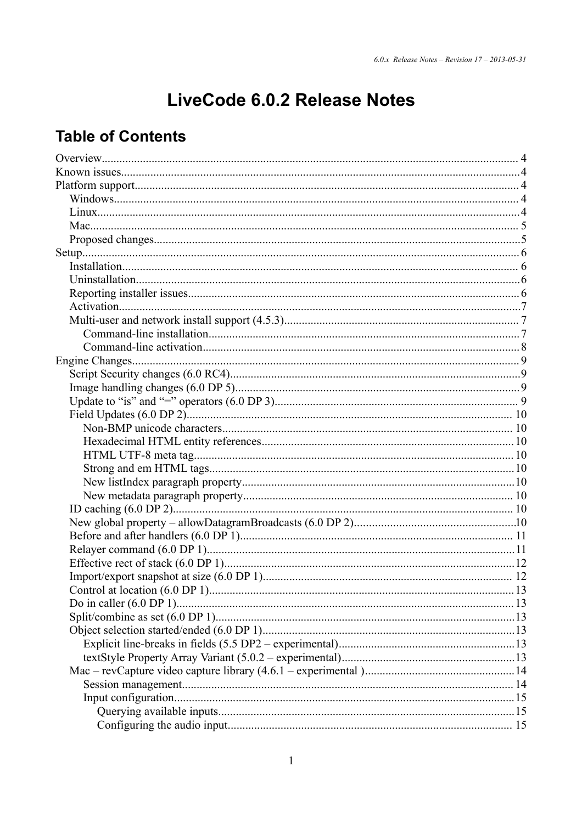# LiveCode 6.0.2 Release Notes

# **Table of Contents**

| Control at location (6.0 DP 1).<br>13 |
|---------------------------------------|
|                                       |
|                                       |
|                                       |
|                                       |
|                                       |
|                                       |
|                                       |
|                                       |
|                                       |
|                                       |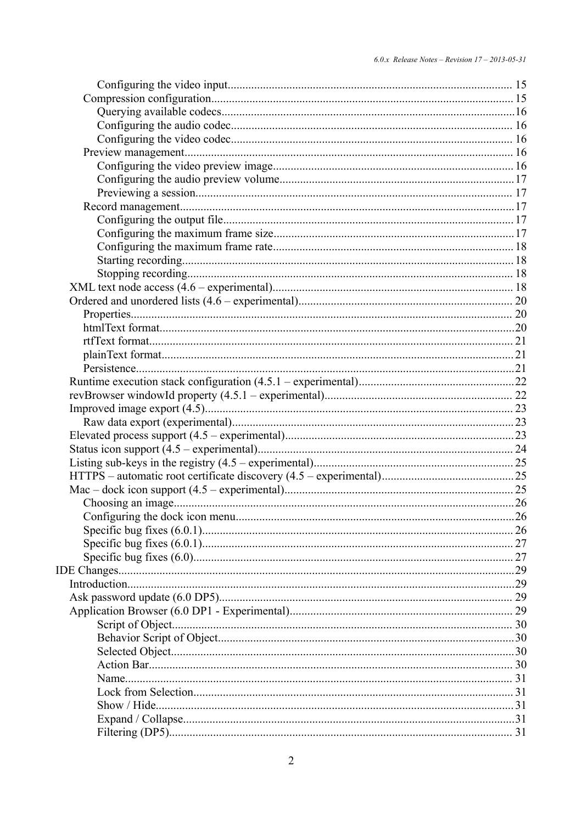| Configuring the dock icon menu. | .26 |
|---------------------------------|-----|
|                                 |     |
|                                 |     |
|                                 |     |
|                                 |     |
|                                 |     |
|                                 |     |
|                                 |     |
|                                 |     |
|                                 |     |
|                                 |     |
|                                 |     |
|                                 |     |
|                                 |     |
|                                 |     |
|                                 |     |
|                                 |     |
|                                 |     |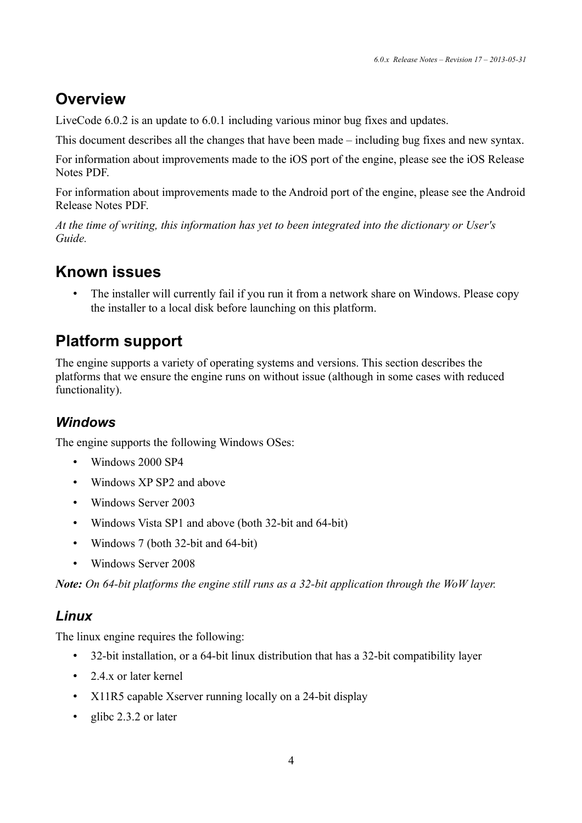# **Overview**

LiveCode 6.0.2 is an update to 6.0.1 including various minor bug fixes and updates.

This document describes all the changes that have been made – including bug fixes and new syntax.

For information about improvements made to the iOS port of the engine, please see the iOS Release Notes PDF.

For information about improvements made to the Android port of the engine, please see the Android Release Notes PDF.

*At the time of writing, this information has yet to been integrated into the dictionary or User's Guide.*

# **Known issues**

The installer will currently fail if you run it from a network share on Windows. Please copy the installer to a local disk before launching on this platform.

# **Platform support**

The engine supports a variety of operating systems and versions. This section describes the platforms that we ensure the engine runs on without issue (although in some cases with reduced functionality).

## *Windows*

The engine supports the following Windows OSes:

- Windows 2000 SP4
- Windows XP SP2 and above
- Windows Server 2003
- Windows Vista SP1 and above (both 32-bit and 64-bit)
- Windows 7 (both 32-bit and 64-bit)
- Windows Server 2008

*Note: On 64-bit platforms the engine still runs as a 32-bit application through the WoW layer.*

## *Linux*

The linux engine requires the following:

- 32-bit installation, or a 64-bit linux distribution that has a 32-bit compatibility layer
- 2.4 x or later kernel
- X11R5 capable Xserver running locally on a 24-bit display
- glibc 2.3.2 or later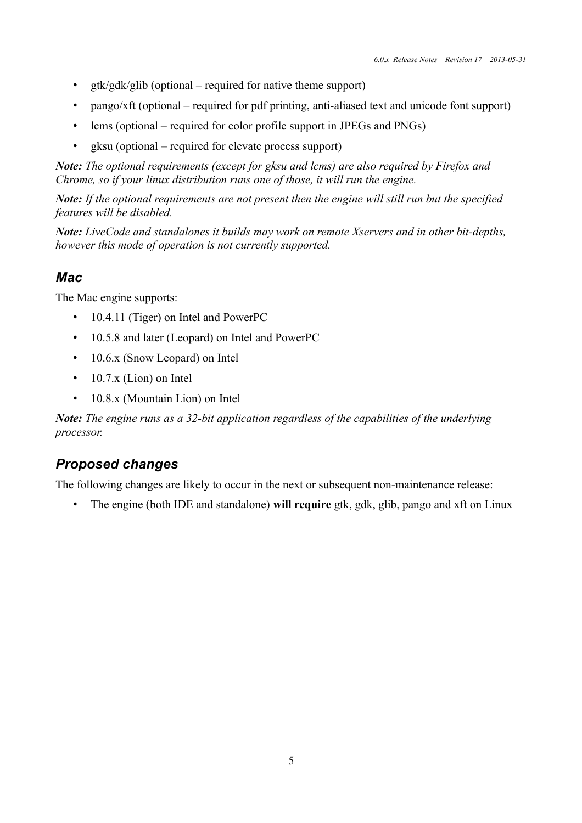- gtk/gdk/glib (optional required for native theme support)
- pango/xft (optional required for pdf printing, anti-aliased text and unicode font support)
- lcms (optional required for color profile support in JPEGs and PNGs)
- gksu (optional required for elevate process support)

*Note: The optional requirements (except for gksu and lcms) are also required by Firefox and Chrome, so if your linux distribution runs one of those, it will run the engine.*

*Note: If the optional requirements are not present then the engine will still run but the specified features will be disabled.*

*Note: LiveCode and standalones it builds may work on remote Xservers and in other bit-depths, however this mode of operation is not currently supported.*

## *Mac*

The Mac engine supports:

- 10.4.11 (Tiger) on Intel and PowerPC
- 10.5.8 and later (Leopard) on Intel and PowerPC
- 10.6.x (Snow Leopard) on Intel
- 10.7.x (Lion) on Intel
- 10.8.x (Mountain Lion) on Intel

*Note: The engine runs as a 32-bit application regardless of the capabilities of the underlying processor.*

## *Proposed changes*

The following changes are likely to occur in the next or subsequent non-maintenance release:

• The engine (both IDE and standalone) **will require** gtk, gdk, glib, pango and xft on Linux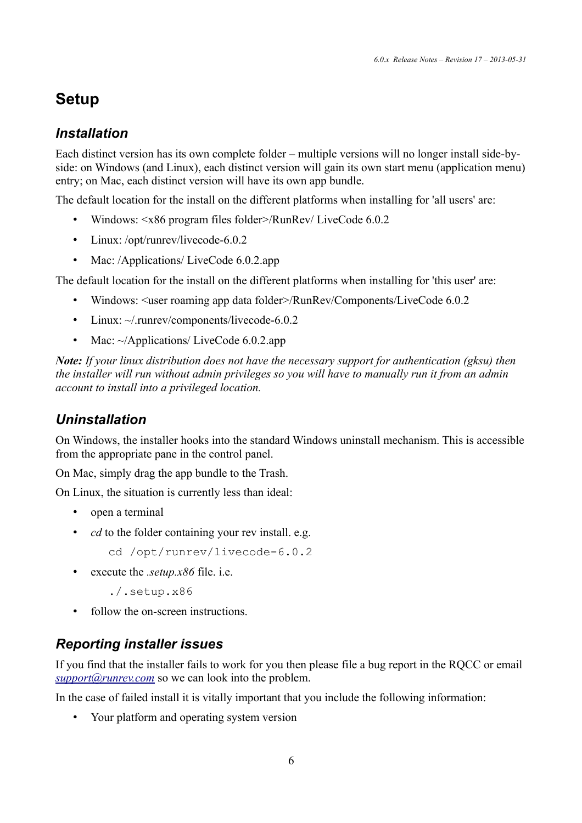# **Setup**

## *Installation*

Each distinct version has its own complete folder – multiple versions will no longer install side-byside: on Windows (and Linux), each distinct version will gain its own start menu (application menu) entry; on Mac, each distinct version will have its own app bundle.

The default location for the install on the different platforms when installing for 'all users' are:

- Windows:  $\langle x86 \rangle$  program files folder >/RunRev/ LiveCode 6.0.2
- Linux: /opt/runrev/livecode-6.0.2
- Mac: /Applications/ LiveCode 6.0.2.app

The default location for the install on the different platforms when installing for 'this user' are:

- Windows: <user roaming app data folder>/RunRev/Components/LiveCode 6.0.2
- Linux:  $\sim$ /.runrev/components/livecode-6.0.2
- Mac: ~/Applications/ LiveCode 6.0.2.app

*Note: If your linux distribution does not have the necessary support for authentication (gksu) then the installer will run without admin privileges so you will have to manually run it from an admin account to install into a privileged location.*

## *Uninstallation*

On Windows, the installer hooks into the standard Windows uninstall mechanism. This is accessible from the appropriate pane in the control panel.

On Mac, simply drag the app bundle to the Trash.

On Linux, the situation is currently less than ideal:

- open a terminal
- *cd* to the folder containing your rev install. e.g.
	- cd /opt/runrev/livecode-6.0.2
- execute the *.setup.x86* file. i.e.
	- ./.setup.x86
- follow the on-screen instructions.

## *Reporting installer issues*

If you find that the installer fails to work for you then please file a bug report in the RQCC or email  $support@runrev.com$  so we can look into the problem.

In the case of failed install it is vitally important that you include the following information:

• Your platform and operating system version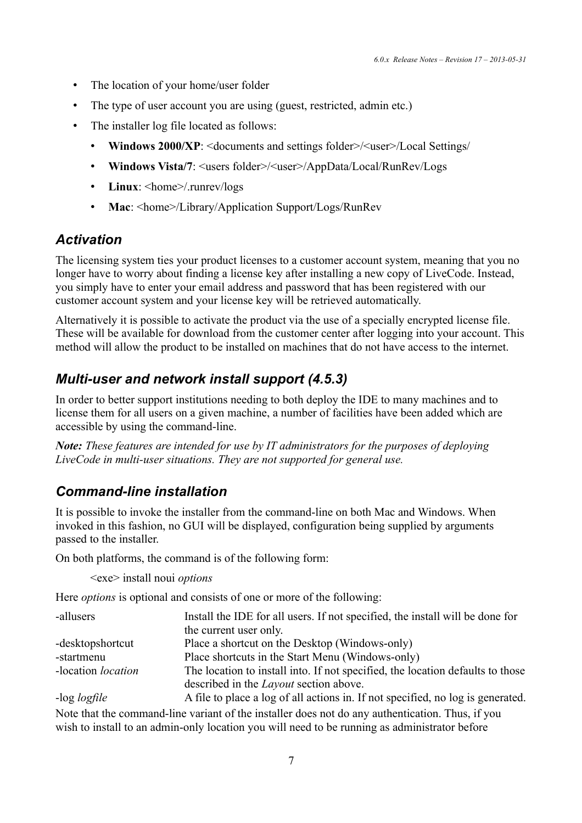- The location of your home/user folder
- The type of user account you are using (guest, restricted, admin etc.)
- The installer log file located as follows:
	- **Windows 2000/XP**: <documents and settings folder>/<user>/Local Settings/
	- **Windows Vista/7**: <users folder>/<user>/AppData/Local/RunRev/Logs
	- Linux: <home>/.runrev/logs
	- Mac: <home>/Library/Application Support/Logs/RunRev

#### *Activation*

The licensing system ties your product licenses to a customer account system, meaning that you no longer have to worry about finding a license key after installing a new copy of LiveCode. Instead, you simply have to enter your email address and password that has been registered with our customer account system and your license key will be retrieved automatically.

Alternatively it is possible to activate the product via the use of a specially encrypted license file. These will be available for download from the customer center after logging into your account. This method will allow the product to be installed on machines that do not have access to the internet.

#### *Multi-user and network install support (4.5.3)*

In order to better support institutions needing to both deploy the IDE to many machines and to license them for all users on a given machine, a number of facilities have been added which are accessible by using the command-line.

*Note: These features are intended for use by IT administrators for the purposes of deploying LiveCode in multi-user situations. They are not supported for general use.*

### *Command-line installation*

It is possible to invoke the installer from the command-line on both Mac and Windows. When invoked in this fashion, no GUI will be displayed, configuration being supplied by arguments passed to the installer.

On both platforms, the command is of the following form:

<exe> install noui *options*

Here *options* is optional and consists of one or more of the following:

| -allusers                 | Install the IDE for all users. If not specified, the install will be done for  |
|---------------------------|--------------------------------------------------------------------------------|
|                           | the current user only.                                                         |
| -desktopshortcut          | Place a shortcut on the Desktop (Windows-only)                                 |
| -startmenu                | Place shortcuts in the Start Menu (Windows-only)                               |
| -location <i>location</i> | The location to install into. If not specified, the location defaults to those |
|                           | described in the <i>Layout</i> section above.                                  |
| $log$ $logth$             | A file to place a log of all ections in If not specified no log is concreted   |

-log *logfile* A file to place a log of all actions in. If not specified, no log is generated. Note that the command-line variant of the installer does not do any authentication. Thus, if you wish to install to an admin-only location you will need to be running as administrator before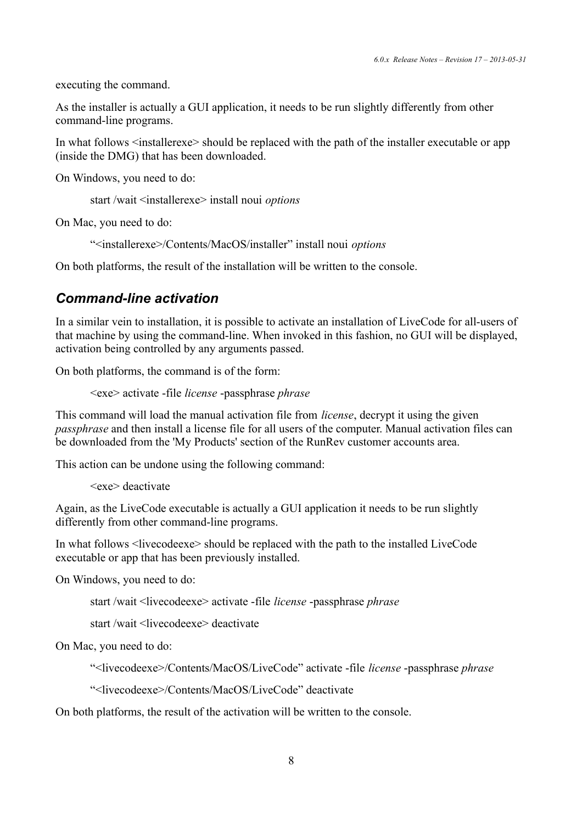executing the command.

As the installer is actually a GUI application, it needs to be run slightly differently from other command-line programs.

In what follows  $\leq$  installerexe $\geq$  should be replaced with the path of the installer executable or app (inside the DMG) that has been downloaded.

On Windows, you need to do:

start /wait <installerexe> install noui *options*

On Mac, you need to do:

"<installerexe>/Contents/MacOS/installer" install noui *options*

On both platforms, the result of the installation will be written to the console.

### *Command-line activation*

In a similar vein to installation, it is possible to activate an installation of LiveCode for all-users of that machine by using the command-line. When invoked in this fashion, no GUI will be displayed, activation being controlled by any arguments passed.

On both platforms, the command is of the form:

<exe> activate -file *license* -passphrase *phrase*

This command will load the manual activation file from *license*, decrypt it using the given *passphrase* and then install a license file for all users of the computer. Manual activation files can be downloaded from the 'My Products' section of the RunRev customer accounts area.

This action can be undone using the following command:

```
<exe> deactivate
```
Again, as the LiveCode executable is actually a GUI application it needs to be run slightly differently from other command-line programs.

In what follows <livecodeexe> should be replaced with the path to the installed LiveCode executable or app that has been previously installed.

On Windows, you need to do:

start /wait <livecodeexe> activate -file *license* -passphrase *phrase*

start /wait <livecodeexe> deactivate

On Mac, you need to do:

"<livecodeexe>/Contents/MacOS/LiveCode" activate -file *license* -passphrase *phrase*

"<livecodeexe>/Contents/MacOS/LiveCode" deactivate

On both platforms, the result of the activation will be written to the console.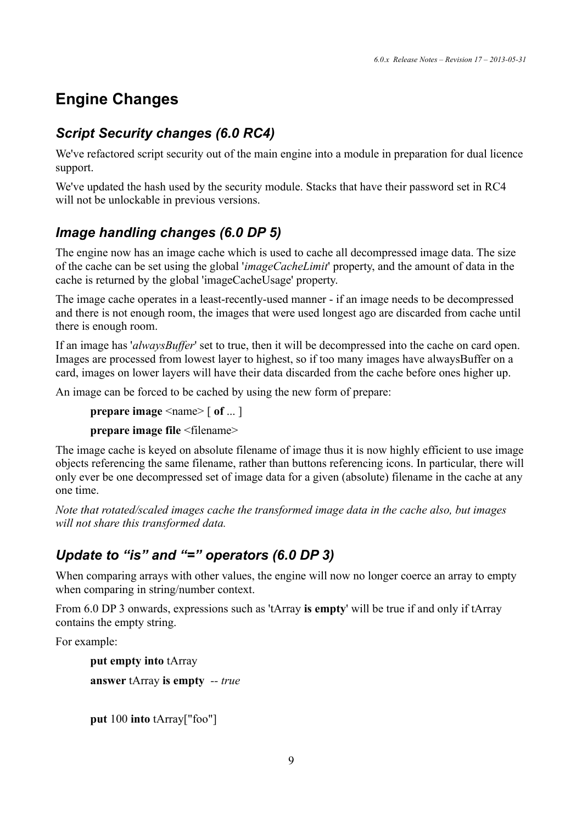# **Engine Changes**

## *Script Security changes (6.0 RC4)*

We've refactored script security out of the main engine into a module in preparation for dual licence support.

We've updated the hash used by the security module. Stacks that have their password set in RC4 will not be unlockable in previous versions.

## *Image handling changes (6.0 DP 5)*

The engine now has an image cache which is used to cache all decompressed image data. The size of the cache can be set using the global '*imageCacheLimit*' property, and the amount of data in the cache is returned by the global 'imageCacheUsage' property.

The image cache operates in a least-recently-used manner - if an image needs to be decompressed and there is not enough room, the images that were used longest ago are discarded from cache until there is enough room.

If an image has '*alwaysBuffer*' set to true, then it will be decompressed into the cache on card open. Images are processed from lowest layer to highest, so if too many images have alwaysBuffer on a card, images on lower layers will have their data discarded from the cache before ones higher up.

An image can be forced to be cached by using the new form of prepare:

```
prepare image <name> \lceil of ... \rceil
```
**prepare image file** <filename>

The image cache is keyed on absolute filename of image thus it is now highly efficient to use image objects referencing the same filename, rather than buttons referencing icons. In particular, there will only ever be one decompressed set of image data for a given (absolute) filename in the cache at any one time.

*Note that rotated/scaled images cache the transformed image data in the cache also, but images will not share this transformed data.*

## *Update to "is" and "=" operators (6.0 DP 3)*

When comparing arrays with other values, the engine will now no longer coerce an array to empty when comparing in string/number context.

From 6.0 DP 3 onwards, expressions such as 'tArray **is empty**' will be true if and only if tArray contains the empty string.

For example:

**put empty into** tArray **answer** tArray **is empty** *-- true*

**put** 100 **into** tArray["foo"]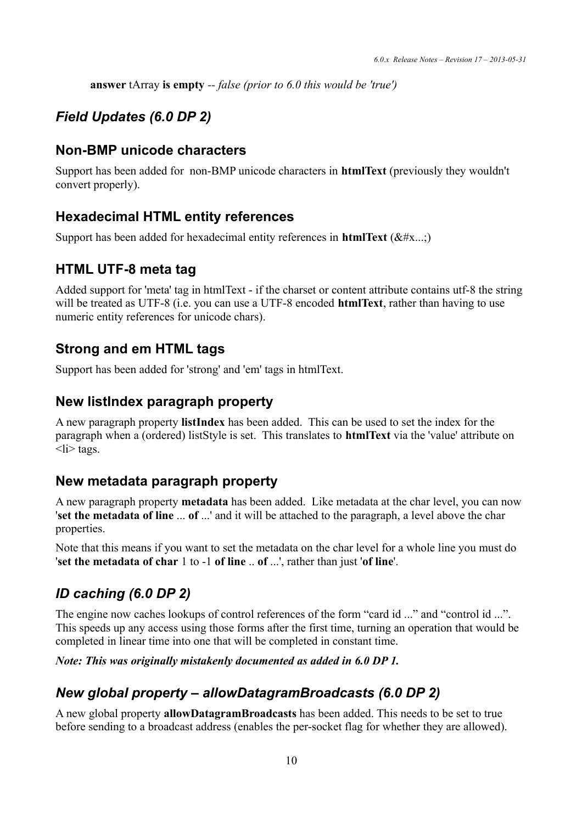**answer** tArray **is empty** *-- false (prior to 6.0 this would be 'true')*

## *Field Updates (6.0 DP 2)*

### **Non-BMP unicode characters**

Support has been added for non-BMP unicode characters in **htmlText** (previously they wouldn't convert properly).

## **Hexadecimal HTML entity references**

Support has been added for hexadecimal entity references in **htmlText** ( $&\#x$ ...;)

## **HTML UTF-8 meta tag**

Added support for 'meta' tag in htmlText - if the charset or content attribute contains utf-8 the string will be treated as UTF-8 (i.e. you can use a UTF-8 encoded **htmlText**, rather than having to use numeric entity references for unicode chars).

## **Strong and em HTML tags**

Support has been added for 'strong' and 'em' tags in htmlText.

## **New listIndex paragraph property**

A new paragraph property **listIndex** has been added. This can be used to set the index for the paragraph when a (ordered) listStyle is set. This translates to **htmlText** via the 'value' attribute on  $\langle$ li $\rangle$  tags.

## **New metadata paragraph property**

A new paragraph property **metadata** has been added. Like metadata at the char level, you can now '**set the metadata of line** ... **of** ...' and it will be attached to the paragraph, a level above the char properties.

Note that this means if you want to set the metadata on the char level for a whole line you must do '**set the metadata of char** 1 to -1 **of line** .. **of** ...', rather than just '**of line**'.

## *ID caching (6.0 DP 2)*

The engine now caches lookups of control references of the form "card id ..." and "control id ...". This speeds up any access using those forms after the first time, turning an operation that would be completed in linear time into one that will be completed in constant time.

#### *Note: This was originally mistakenly documented as added in 6.0 DP 1.*

## *New global property – allowDatagramBroadcasts (6.0 DP 2)*

A new global property **allowDatagramBroadcasts** has been added. This needs to be set to true before sending to a broadcast address (enables the per-socket flag for whether they are allowed).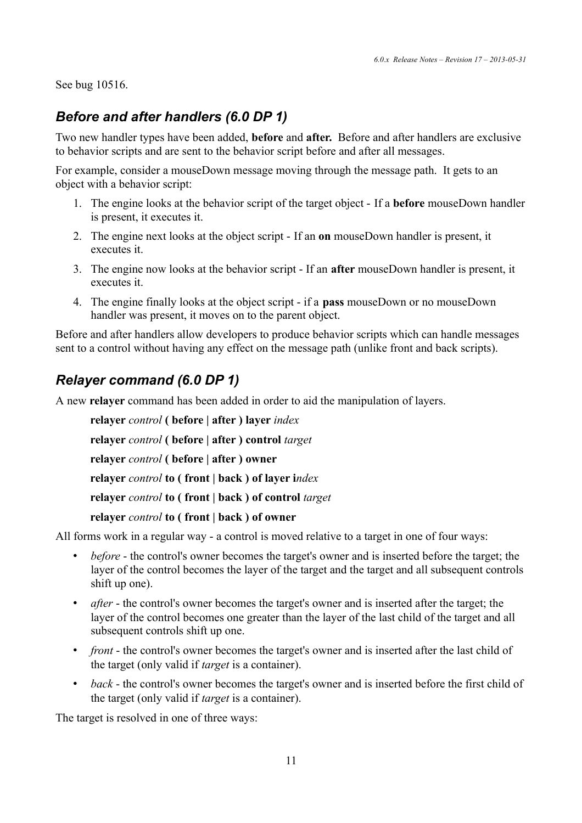See bug 10516.

## *Before and after handlers (6.0 DP 1)*

Two new handler types have been added, **before** and **after.** Before and after handlers are exclusive to behavior scripts and are sent to the behavior script before and after all messages.

For example, consider a mouseDown message moving through the message path. It gets to an object with a behavior script:

- 1. The engine looks at the behavior script of the target object If a **before** mouseDown handler is present, it executes it.
- 2. The engine next looks at the object script If an **on** mouseDown handler is present, it executes it.
- 3. The engine now looks at the behavior script If an **after** mouseDown handler is present, it executes it.
- 4. The engine finally looks at the object script if a **pass** mouseDown or no mouseDown handler was present, it moves on to the parent object.

Before and after handlers allow developers to produce behavior scripts which can handle messages sent to a control without having any effect on the message path (unlike front and back scripts).

## *Relayer command (6.0 DP 1)*

A new **relayer** command has been added in order to aid the manipulation of layers.

**relayer** *control* **( before | after ) layer** *index* **relayer** *control* **( before | after ) control** *target* **relayer** *control* **( before | after ) owner relayer** *control* **to ( front | back ) of layer i***ndex* **relayer** *control* **to ( front | back ) of control** *target* **relayer** *control* **to ( front | back ) of owner**

All forms work in a regular way - a control is moved relative to a target in one of four ways:

- *before* the control's owner becomes the target's owner and is inserted before the target; the layer of the control becomes the layer of the target and the target and all subsequent controls shift up one).
- *after* the control's owner becomes the target's owner and is inserted after the target; the layer of the control becomes one greater than the layer of the last child of the target and all subsequent controls shift up one.
- *front* the control's owner becomes the target's owner and is inserted after the last child of the target (only valid if *target* is a container).
- *back* the control's owner becomes the target's owner and is inserted before the first child of the target (only valid if *target* is a container).

The target is resolved in one of three ways: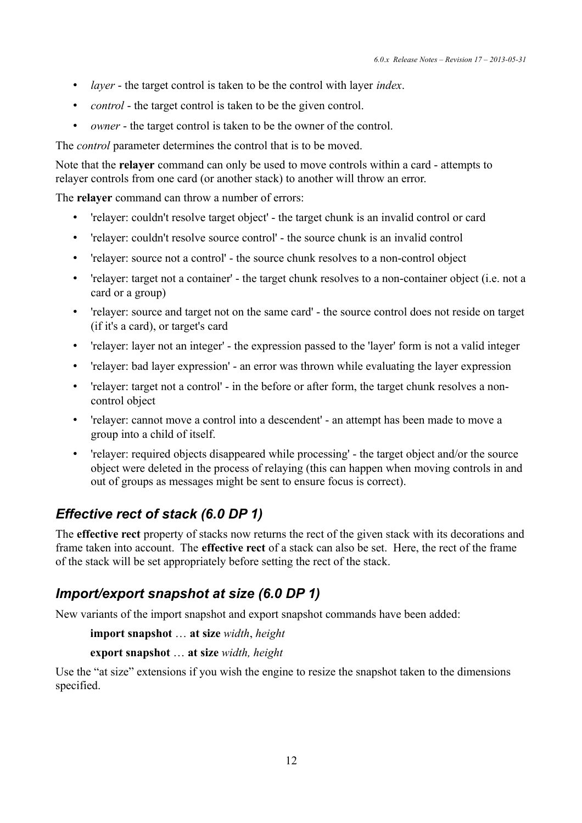- *layer*  the target control is taken to be the control with layer *index*.
- *control* the target control is taken to be the given control.
- *owner* the target control is taken to be the owner of the control.

The *control* parameter determines the control that is to be moved.

Note that the **relayer** command can only be used to move controls within a card - attempts to relayer controls from one card (or another stack) to another will throw an error.

The **relayer** command can throw a number of errors:

- 'relayer: couldn't resolve target object' the target chunk is an invalid control or card
- 'relayer: couldn't resolve source control' the source chunk is an invalid control
- 'relayer: source not a control' the source chunk resolves to a non-control object
- 'relayer: target not a container' the target chunk resolves to a non-container object (i.e. not a card or a group)
- 'relayer: source and target not on the same card' the source control does not reside on target (if it's a card), or target's card
- 'relayer: layer not an integer' the expression passed to the 'layer' form is not a valid integer
- 'relayer: bad layer expression' an error was thrown while evaluating the layer expression
- 'relayer: target not a control' in the before or after form, the target chunk resolves a noncontrol object
- 'relayer: cannot move a control into a descendent' an attempt has been made to move a group into a child of itself.
- 'relayer: required objects disappeared while processing' the target object and/or the source object were deleted in the process of relaying (this can happen when moving controls in and out of groups as messages might be sent to ensure focus is correct).

## *Effective rect of stack (6.0 DP 1)*

The **effective rect** property of stacks now returns the rect of the given stack with its decorations and frame taken into account. The **effective rect** of a stack can also be set. Here, the rect of the frame of the stack will be set appropriately before setting the rect of the stack.

## *Import/export snapshot at size (6.0 DP 1)*

New variants of the import snapshot and export snapshot commands have been added:

**import snapshot** … **at size** *width*, *height*

**export snapshot** … **at size** *width, height*

Use the "at size" extensions if you wish the engine to resize the snapshot taken to the dimensions specified.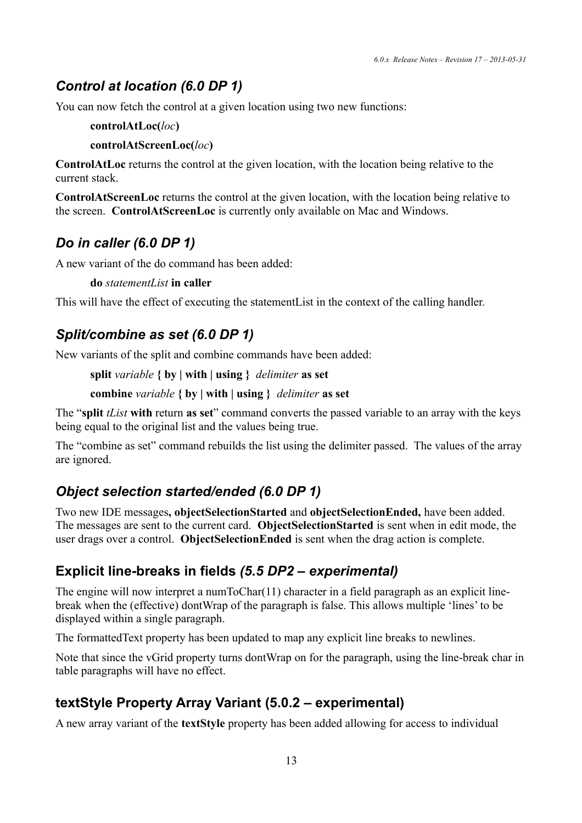## *Control at location (6.0 DP 1)*

You can now fetch the control at a given location using two new functions:

#### **controlAtLoc(***loc***)**

#### **controlAtScreenLoc(***loc***)**

**ControlAtLoc** returns the control at the given location, with the location being relative to the current stack.

**ControlAtScreenLoc** returns the control at the given location, with the location being relative to the screen. **ControlAtScreenLoc** is currently only available on Mac and Windows.

### *Do in caller (6.0 DP 1)*

A new variant of the do command has been added:

**do** *statementList* **in caller**

This will have the effect of executing the statementList in the context of the calling handler.

### *Split/combine as set (6.0 DP 1)*

New variants of the split and combine commands have been added:

**split** *variable* **{ by | with | using }** *delimiter* **as set**

```
combine variable { by | with | using } delimiter as set
```
The "**split** *tList* **with** return **as set**" command converts the passed variable to an array with the keys being equal to the original list and the values being true.

The "combine as set" command rebuilds the list using the delimiter passed. The values of the array are ignored.

## *Object selection started/ended (6.0 DP 1)*

Two new IDE messages**, objectSelectionStarted** and **objectSelectionEnded,** have been added. The messages are sent to the current card. **ObjectSelectionStarted** is sent when in edit mode, the user drags over a control. **ObjectSelectionEnded** is sent when the drag action is complete.

## **Explicit line-breaks in fields** *(5.5 DP2 – experimental)*

The engine will now interpret a numToChar(11) character in a field paragraph as an explicit linebreak when the (effective) dontWrap of the paragraph is false. This allows multiple 'lines' to be displayed within a single paragraph.

The formattedText property has been updated to map any explicit line breaks to newlines.

Note that since the vGrid property turns dontWrap on for the paragraph, using the line-break char in table paragraphs will have no effect.

## **textStyle Property Array Variant (5.0.2 – experimental)**

A new array variant of the **textStyle** property has been added allowing for access to individual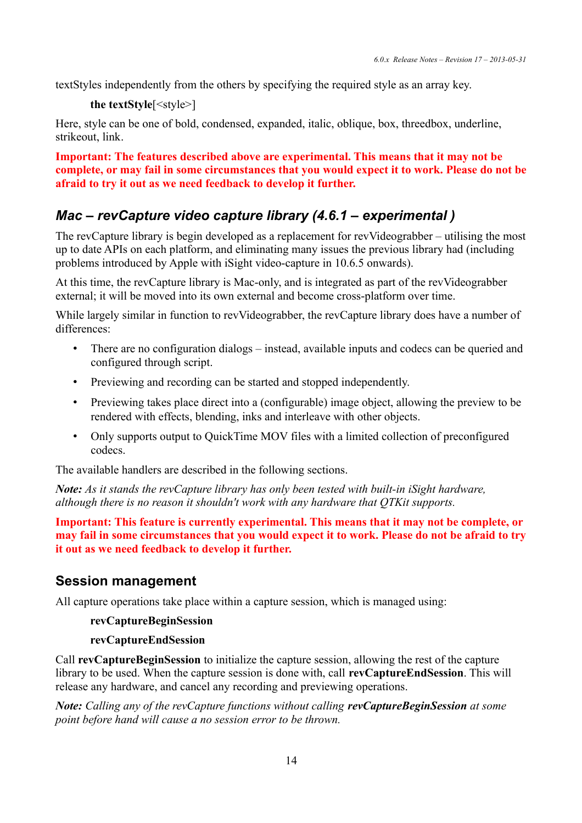textStyles independently from the others by specifying the required style as an array key.

```
the textStyle[<style>]
```
Here, style can be one of bold, condensed, expanded, italic, oblique, box, threedbox, underline, strikeout, link.

**Important: The features described above are experimental. This means that it may not be complete, or may fail in some circumstances that you would expect it to work. Please do not be afraid to try it out as we need feedback to develop it further.**

## *Mac – revCapture video capture library (4.6.1 – experimental )*

The revCapture library is begin developed as a replacement for revVideograbber – utilising the most up to date APIs on each platform, and eliminating many issues the previous library had (including problems introduced by Apple with iSight video-capture in 10.6.5 onwards).

At this time, the revCapture library is Mac-only, and is integrated as part of the revVideograbber external; it will be moved into its own external and become cross-platform over time.

While largely similar in function to revVideograbber, the revCapture library does have a number of differences:

- There are no configuration dialogs instead, available inputs and codecs can be queried and configured through script.
- Previewing and recording can be started and stopped independently.
- Previewing takes place direct into a (configurable) image object, allowing the preview to be rendered with effects, blending, inks and interleave with other objects.
- Only supports output to QuickTime MOV files with a limited collection of preconfigured codecs.

The available handlers are described in the following sections.

*Note: As it stands the revCapture library has only been tested with built-in iSight hardware, although there is no reason it shouldn't work with any hardware that QTKit supports.*

**Important: This feature is currently experimental. This means that it may not be complete, or may fail in some circumstances that you would expect it to work. Please do not be afraid to try it out as we need feedback to develop it further.**

## **Session management**

All capture operations take place within a capture session, which is managed using:

#### **revCaptureBeginSession**

#### **revCaptureEndSession**

Call **revCaptureBeginSession** to initialize the capture session, allowing the rest of the capture library to be used. When the capture session is done with, call **revCaptureEndSession**. This will release any hardware, and cancel any recording and previewing operations.

*Note: Calling any of the revCapture functions without calling revCaptureBeginSession at some point before hand will cause a no session error to be thrown.*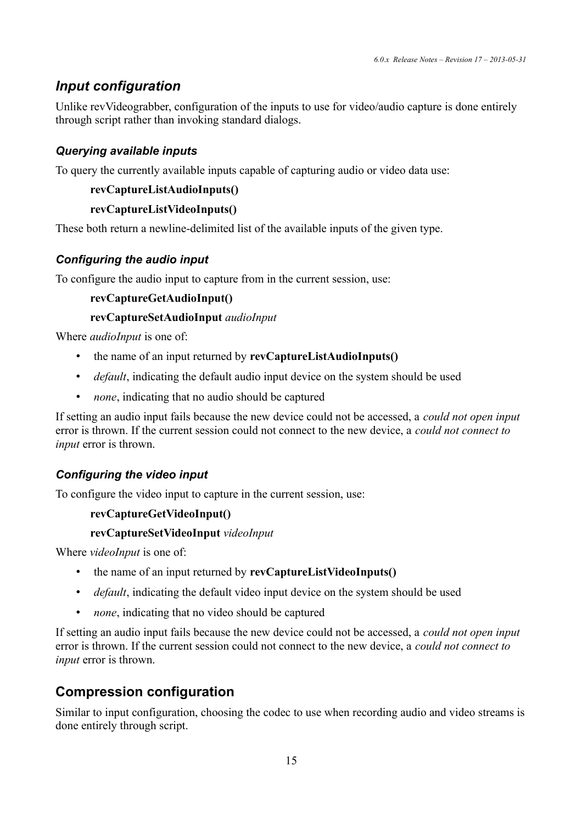## *Input configuration*

Unlike revVideograbber, configuration of the inputs to use for video/audio capture is done entirely through script rather than invoking standard dialogs.

#### *Querying available inputs*

To query the currently available inputs capable of capturing audio or video data use:

#### **revCaptureListAudioInputs()**

#### **revCaptureListVideoInputs()**

These both return a newline-delimited list of the available inputs of the given type.

#### *Configuring the audio input*

To configure the audio input to capture from in the current session, use:

#### **revCaptureGetAudioInput()**

#### **revCaptureSetAudioInput** *audioInput*

Where *audioInput* is one of:

- the name of an input returned by **revCaptureListAudioInputs()**
- *default*, indicating the default audio input device on the system should be used
- *none*, indicating that no audio should be captured

If setting an audio input fails because the new device could not be accessed, a *could not open input* error is thrown. If the current session could not connect to the new device, a *could not connect to input* error is thrown.

#### *Configuring the video input*

To configure the video input to capture in the current session, use:

#### **revCaptureGetVideoInput()**

#### **revCaptureSetVideoInput** *videoInput*

Where *videoInput* is one of:

- the name of an input returned by **revCaptureListVideoInputs()**
- *default*, indicating the default video input device on the system should be used
- *none*, indicating that no video should be captured

If setting an audio input fails because the new device could not be accessed, a *could not open input* error is thrown. If the current session could not connect to the new device, a *could not connect to input* error is thrown.

## **Compression configuration**

Similar to input configuration, choosing the codec to use when recording audio and video streams is done entirely through script.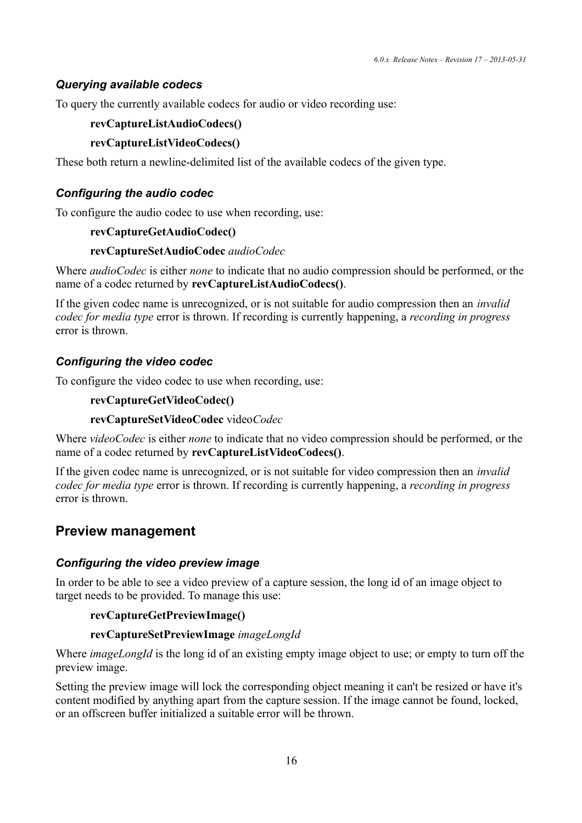#### *Querying available codecs*

To query the currently available codecs for audio or video recording use:

#### **revCaptureListAudioCodecs()**

#### **revCaptureListVideoCodecs()**

These both return a newline-delimited list of the available codecs of the given type.

#### *Configuring the audio codec*

To configure the audio codec to use when recording, use:

#### **revCaptureGetAudioCodec()**

#### **revCaptureSetAudioCodec** *audioCodec*

Where *audioCodec* is either *none* to indicate that no audio compression should be performed, or the name of a codec returned by **revCaptureListAudioCodecs()**.

If the given codec name is unrecognized, or is not suitable for audio compression then an *invalid codec for media type* error is thrown. If recording is currently happening, a *recording in progress* error is thrown.

#### *Configuring the video codec*

To configure the video codec to use when recording, use:

#### **revCaptureGetVideoCodec()**

#### **revCaptureSetVideoCodec** video*Codec*

Where *videoCodec* is either *none* to indicate that no video compression should be performed, or the name of a codec returned by **revCaptureListVideoCodecs()**.

If the given codec name is unrecognized, or is not suitable for video compression then an *invalid codec for media type* error is thrown. If recording is currently happening, a *recording in progress* error is thrown.

## **Preview management**

#### *Configuring the video preview image*

In order to be able to see a video preview of a capture session, the long id of an image object to target needs to be provided. To manage this use:

#### **revCaptureGetPreviewImage()**

#### **revCaptureSetPreviewImage** *imageLongId*

Where *imageLongId* is the long id of an existing empty image object to use; or empty to turn off the preview image.

Setting the preview image will lock the corresponding object meaning it can't be resized or have it's content modified by anything apart from the capture session. If the image cannot be found, locked, or an offscreen buffer initialized a suitable error will be thrown.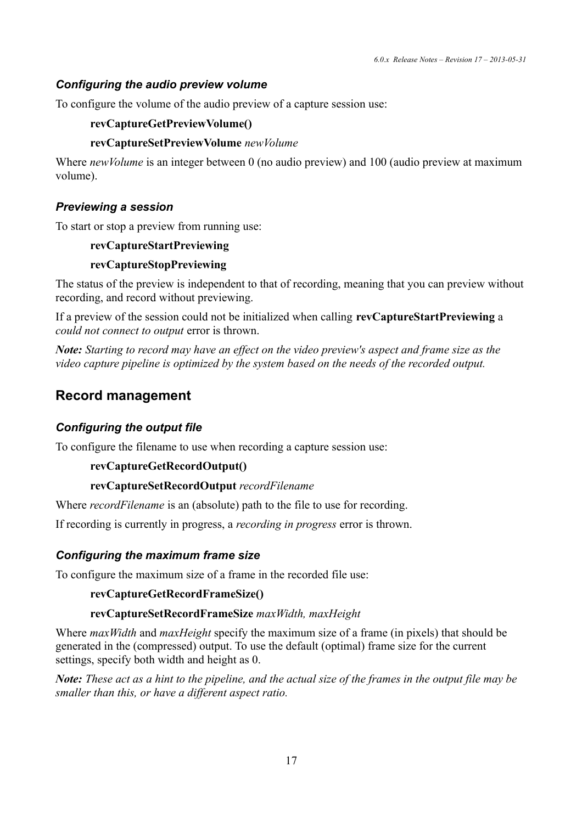#### *Configuring the audio preview volume*

To configure the volume of the audio preview of a capture session use:

#### **revCaptureGetPreviewVolume()**

#### **revCaptureSetPreviewVolume** *newVolume*

Where *newVolume* is an integer between 0 (no audio preview) and 100 (audio preview at maximum volume).

#### *Previewing a session*

To start or stop a preview from running use:

#### **revCaptureStartPreviewing**

#### **revCaptureStopPreviewing**

The status of the preview is independent to that of recording, meaning that you can preview without recording, and record without previewing.

If a preview of the session could not be initialized when calling **revCaptureStartPreviewing** a *could not connect to output* error is thrown.

*Note: Starting to record may have an effect on the video preview's aspect and frame size as the video capture pipeline is optimized by the system based on the needs of the recorded output.*

### **Record management**

#### *Configuring the output file*

To configure the filename to use when recording a capture session use:

#### **revCaptureGetRecordOutput()**

#### **revCaptureSetRecordOutput** *recordFilename*

Where *recordFilename* is an (absolute) path to the file to use for recording.

If recording is currently in progress, a *recording in progress* error is thrown.

#### *Configuring the maximum frame size*

To configure the maximum size of a frame in the recorded file use:

#### **revCaptureGetRecordFrameSize()**

#### **revCaptureSetRecordFrameSize** *maxWidth, maxHeight*

Where *maxWidth* and *maxHeight* specify the maximum size of a frame (in pixels) that should be generated in the (compressed) output. To use the default (optimal) frame size for the current settings, specify both width and height as 0.

*Note: These act as a hint to the pipeline, and the actual size of the frames in the output file may be smaller than this, or have a different aspect ratio.*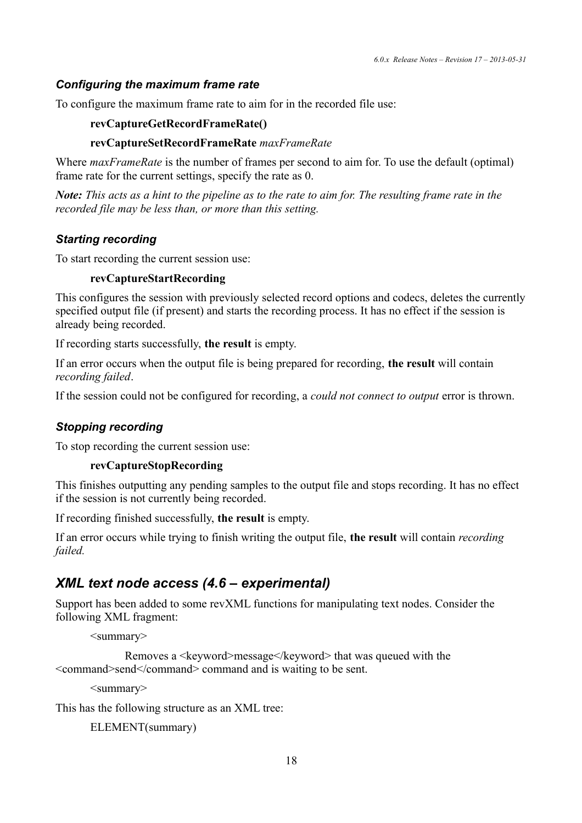#### *Configuring the maximum frame rate*

To configure the maximum frame rate to aim for in the recorded file use:

#### **revCaptureGetRecordFrameRate()**

#### **revCaptureSetRecordFrameRate** *maxFrameRate*

Where *maxFrameRate* is the number of frames per second to aim for. To use the default (optimal) frame rate for the current settings, specify the rate as 0.

*Note: This acts as a hint to the pipeline as to the rate to aim for. The resulting frame rate in the recorded file may be less than, or more than this setting.*

#### *Starting recording*

To start recording the current session use:

#### **revCaptureStartRecording**

This configures the session with previously selected record options and codecs, deletes the currently specified output file (if present) and starts the recording process. It has no effect if the session is already being recorded.

If recording starts successfully, **the result** is empty.

If an error occurs when the output file is being prepared for recording, **the result** will contain *recording failed*.

If the session could not be configured for recording, a *could not connect to output* error is thrown.

#### *Stopping recording*

To stop recording the current session use:

#### **revCaptureStopRecording**

This finishes outputting any pending samples to the output file and stops recording. It has no effect if the session is not currently being recorded.

If recording finished successfully, **the result** is empty.

If an error occurs while trying to finish writing the output file, **the result** will contain *recording failed.*

### *XML text node access (4.6 – experimental)*

Support has been added to some revXML functions for manipulating text nodes. Consider the following XML fragment:

<summary>

```
Removes a <keyword>message</keyword> that was queued with the
<command>send</command> command and is waiting to be sent.
```
<summary>

This has the following structure as an XML tree:

```
ELEMENT(summary)
```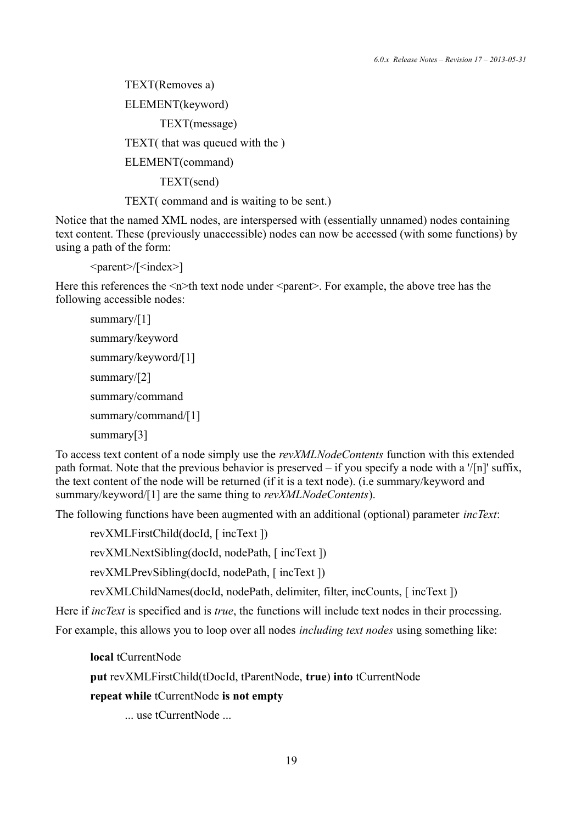TEXT(Removes a) ELEMENT(keyword) TEXT(message) TEXT( that was queued with the ) ELEMENT(command) TEXT(send)

TEXT( command and is waiting to be sent.)

Notice that the named XML nodes, are interspersed with (essentially unnamed) nodes containing text content. These (previously unaccessible) nodes can now be accessed (with some functions) by using a path of the form:

<parent>/[<index>]

Here this references the  $\leq n \geq th$  text node under  $\leq$  parent  $\geq$ . For example, the above tree has the following accessible nodes:

```
summary/[1]
summary/keyword
summary/keyword/[1]
summary/[2]
summary/command
summary/command/[1]
summary[3]
```
To access text content of a node simply use the *revXMLNodeContents* function with this extended path format. Note that the previous behavior is preserved – if you specify a node with a '/[n]' suffix, the text content of the node will be returned (if it is a text node). (i.e summary/keyword and summary/keyword/[1] are the same thing to *revXMLNodeContents*).

The following functions have been augmented with an additional (optional) parameter *incText*:

revXMLFirstChild(docId, [ incText ])

revXMLNextSibling(docId, nodePath, [ incText ])

revXMLPrevSibling(docId, nodePath, [ incText ])

revXMLChildNames(docId, nodePath, delimiter, filter, incCounts, [ incText ])

Here if *incText* is specified and is *true*, the functions will include text nodes in their processing.

For example, this allows you to loop over all nodes *including text nodes* using something like:

**local** tCurrentNode

**put** revXMLFirstChild(tDocId, tParentNode, **true**) **into** tCurrentNode

**repeat while** tCurrentNode **is not empty**

... use tCurrentNode ...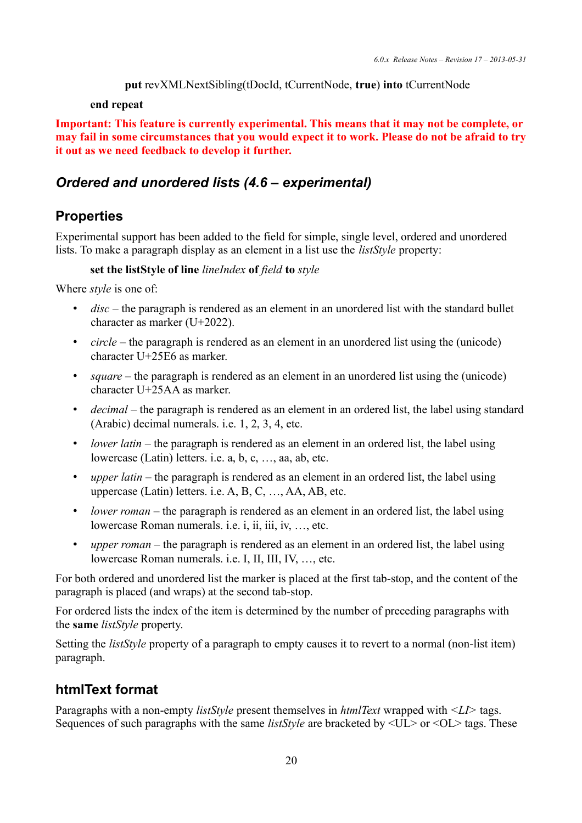```
put revXMLNextSibling(tDocId, tCurrentNode, true) into tCurrentNode
```
#### **end repeat**

**Important: This feature is currently experimental. This means that it may not be complete, or may fail in some circumstances that you would expect it to work. Please do not be afraid to try it out as we need feedback to develop it further.**

## *Ordered and unordered lists (4.6 – experimental)*

## **Properties**

Experimental support has been added to the field for simple, single level, ordered and unordered lists. To make a paragraph display as an element in a list use the *listStyle* property:

#### **set the listStyle of line** *lineIndex* **of** *field* **to** *style*

Where *style* is one of:

- *disc* the paragraph is rendered as an element in an unordered list with the standard bullet character as marker (U+2022).
- *circle* the paragraph is rendered as an element in an unordered list using the (unicode) character U+25E6 as marker.
- *square* the paragraph is rendered as an element in an unordered list using the (unicode) character U+25AA as marker.
- *decimal* the paragraph is rendered as an element in an ordered list, the label using standard (Arabic) decimal numerals. i.e. 1, 2, 3, 4, etc.
- *lower latin* the paragraph is rendered as an element in an ordered list, the label using lowercase (Latin) letters. i.e. a, b, c, …, aa, ab, etc.
- *upper latin* the paragraph is rendered as an element in an ordered list, the label using uppercase (Latin) letters. i.e. A, B, C, …, AA, AB, etc.
- *lower roman* the paragraph is rendered as an element in an ordered list, the label using lowercase Roman numerals. i.e. i, ii, iii, iv, …, etc.
- *upper roman* the paragraph is rendered as an element in an ordered list, the label using lowercase Roman numerals. i.e. I, II, III, IV, …, etc.

For both ordered and unordered list the marker is placed at the first tab-stop, and the content of the paragraph is placed (and wraps) at the second tab-stop.

For ordered lists the index of the item is determined by the number of preceding paragraphs with the **same** *listStyle* property.

Setting the *listStyle* property of a paragraph to empty causes it to revert to a normal (non-list item) paragraph.

## **htmlText format**

Paragraphs with a non-empty *listStyle* present themselves in *htmlText* wrapped with *<LI>* tags. Sequences of such paragraphs with the same *listStyle* are bracketed by  $\langle UL \rangle$  or  $\langle OL \rangle$  tags. These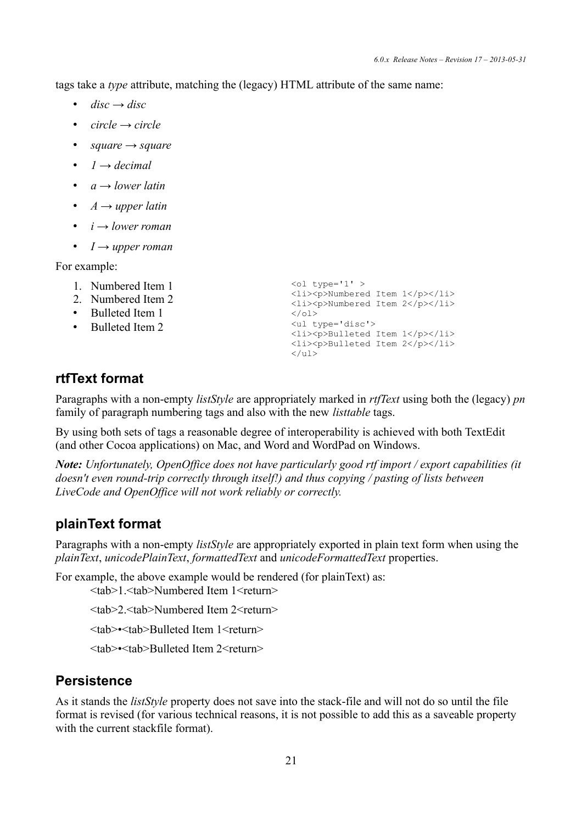tags take a *type* attribute, matching the (legacy) HTML attribute of the same name:

- $disc \rightarrow disc$
- *circle → circle*
- *square → square*
- $\bullet$  *1*  $\rightarrow$  *decimal*
- *a → lower latin*
- *A → upper latin*
- *i → lower roman*
- *I → upper roman*

For example:

- 1. Numbered Item 1
- 2. Numbered Item 2
- Bulleted Item 1
- Bulleted Item 2

```
\left\langle \text{o}1 \text{ type} = '1' \right\rangle<li><p>Numbered Item 1</p></li>
<li><p>Numbered Item 2</p></li>
\langle/\capl><ul type='disc'>
<li><p>Bulleted Item 1</p></li>
 <li><p>Bulleted Item 2</p></li>
 \langle/ul>
```
## **rtfText format**

Paragraphs with a non-empty *listStyle* are appropriately marked in *rtfText* using both the (legacy) *pn* family of paragraph numbering tags and also with the new *listtable* tags.

By using both sets of tags a reasonable degree of interoperability is achieved with both TextEdit (and other Cocoa applications) on Mac, and Word and WordPad on Windows.

*Note: Unfortunately, OpenOffice does not have particularly good rtf import / export capabilities (it doesn't even round-trip correctly through itself!) and thus copying / pasting of lists between LiveCode and OpenOffice will not work reliably or correctly.*

## **plainText format**

Paragraphs with a non-empty *listStyle* are appropriately exported in plain text form when using the *plainText*, *unicodePlainText*, *formattedText* and *unicodeFormattedText* properties.

For example, the above example would be rendered (for plainText) as:

<tab>1.<tab>Numbered Item 1<return>

<tab>2.<tab>Numbered Item 2<return>

<tab>•<tab>Bulleted Item 1<return>

<tab>•<tab>Bulleted Item 2<return>

## **Persistence**

As it stands the *listStyle* property does not save into the stack-file and will not do so until the file format is revised (for various technical reasons, it is not possible to add this as a saveable property with the current stackfile format).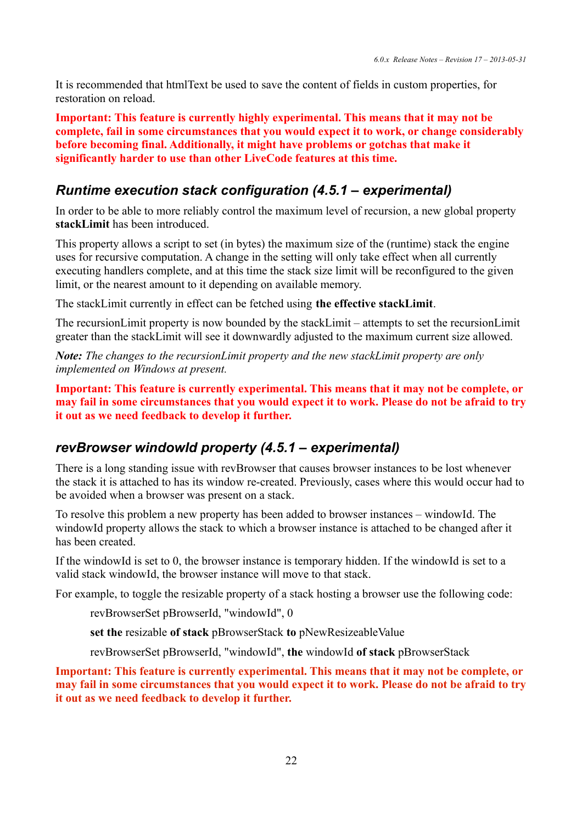It is recommended that htmlText be used to save the content of fields in custom properties, for restoration on reload.

**Important: This feature is currently highly experimental. This means that it may not be complete, fail in some circumstances that you would expect it to work, or change considerably before becoming final. Additionally, it might have problems or gotchas that make it significantly harder to use than other LiveCode features at this time.**

### *Runtime execution stack configuration (4.5.1 – experimental)*

In order to be able to more reliably control the maximum level of recursion, a new global property **stackLimit** has been introduced.

This property allows a script to set (in bytes) the maximum size of the (runtime) stack the engine uses for recursive computation. A change in the setting will only take effect when all currently executing handlers complete, and at this time the stack size limit will be reconfigured to the given limit, or the nearest amount to it depending on available memory.

The stackLimit currently in effect can be fetched using **the effective stackLimit**.

The recursionLimit property is now bounded by the stackLimit – attempts to set the recursionLimit greater than the stackLimit will see it downwardly adjusted to the maximum current size allowed.

*Note: The changes to the recursionLimit property and the new stackLimit property are only implemented on Windows at present.*

**Important: This feature is currently experimental. This means that it may not be complete, or may fail in some circumstances that you would expect it to work. Please do not be afraid to try it out as we need feedback to develop it further.**

### *revBrowser windowId property (4.5.1 – experimental)*

There is a long standing issue with revBrowser that causes browser instances to be lost whenever the stack it is attached to has its window re-created. Previously, cases where this would occur had to be avoided when a browser was present on a stack.

To resolve this problem a new property has been added to browser instances – windowId. The windowId property allows the stack to which a browser instance is attached to be changed after it has been created.

If the windowId is set to 0, the browser instance is temporary hidden. If the windowId is set to a valid stack windowId, the browser instance will move to that stack.

For example, to toggle the resizable property of a stack hosting a browser use the following code:

revBrowserSet pBrowserId, "windowId", 0

**set the** resizable **of stack** pBrowserStack **to** pNewResizeableValue

revBrowserSet pBrowserId, "windowId", **the** windowId **of stack** pBrowserStack

**Important: This feature is currently experimental. This means that it may not be complete, or may fail in some circumstances that you would expect it to work. Please do not be afraid to try it out as we need feedback to develop it further.**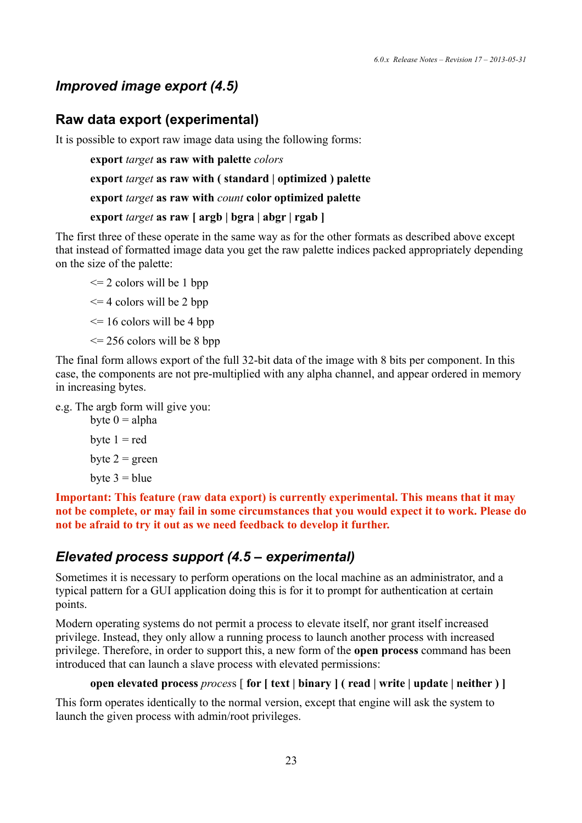## *Improved image export (4.5)*

### **Raw data export (experimental)**

It is possible to export raw image data using the following forms:

**export** *target* **as raw with palette** *colors*

**export** *target* **as raw with ( standard | optimized ) palette**

**export** *target* **as raw with** *count* **color optimized palette**

#### **export** *target* **as raw [ argb | bgra | abgr | rgab ]**

The first three of these operate in the same way as for the other formats as described above except that instead of formatted image data you get the raw palette indices packed appropriately depending on the size of the palette:

 $\leq$  2 colors will be 1 bpp

 $\leq$  4 colors will be 2 bpp

 $\leq$  16 colors will be 4 bpp

 $\leq$  256 colors will be 8 bpp

The final form allows export of the full 32-bit data of the image with 8 bits per component. In this case, the components are not pre-multiplied with any alpha channel, and appear ordered in memory in increasing bytes.

e.g. The argb form will give you:

byte  $0 = alpha$ byte  $1 = red$ byte  $2 =$  green byte  $3 =$  blue

**Important: This feature (raw data export) is currently experimental. This means that it may not be complete, or may fail in some circumstances that you would expect it to work. Please do not be afraid to try it out as we need feedback to develop it further.**

### *Elevated process support (4.5 – experimental)*

Sometimes it is necessary to perform operations on the local machine as an administrator, and a typical pattern for a GUI application doing this is for it to prompt for authentication at certain points.

Modern operating systems do not permit a process to elevate itself, nor grant itself increased privilege. Instead, they only allow a running process to launch another process with increased privilege. Therefore, in order to support this, a new form of the **open process** command has been introduced that can launch a slave process with elevated permissions:

#### **open elevated process** *proces*s [ **for [ text | binary ] ( read | write | update | neither ) ]**

This form operates identically to the normal version, except that engine will ask the system to launch the given process with admin/root privileges.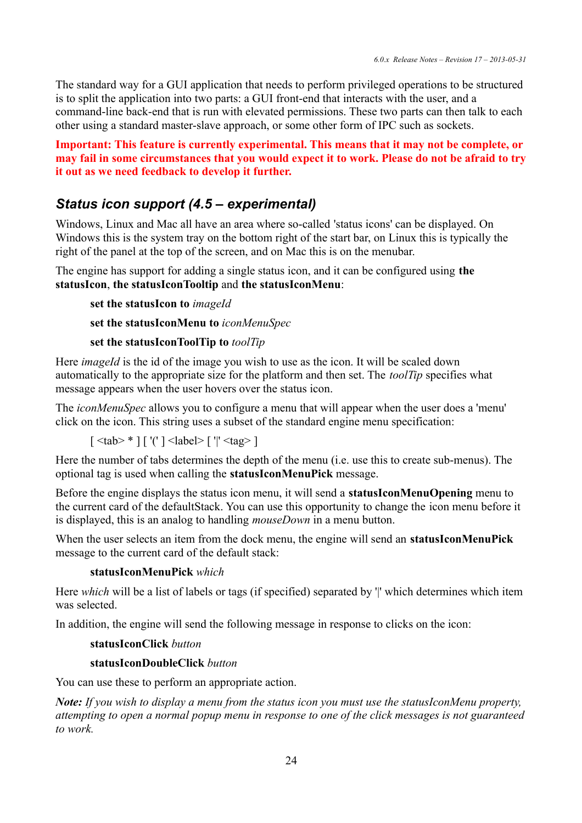The standard way for a GUI application that needs to perform privileged operations to be structured is to split the application into two parts: a GUI front-end that interacts with the user, and a command-line back-end that is run with elevated permissions. These two parts can then talk to each other using a standard master-slave approach, or some other form of IPC such as sockets.

**Important: This feature is currently experimental. This means that it may not be complete, or may fail in some circumstances that you would expect it to work. Please do not be afraid to try it out as we need feedback to develop it further.**

## *Status icon support (4.5 – experimental)*

Windows, Linux and Mac all have an area where so-called 'status icons' can be displayed. On Windows this is the system tray on the bottom right of the start bar, on Linux this is typically the right of the panel at the top of the screen, and on Mac this is on the menubar.

The engine has support for adding a single status icon, and it can be configured using **the statusIcon**, **the statusIconTooltip** and **the statusIconMenu**:

```
set the statusIcon to imageId
```
**set the statusIconMenu to** *iconMenuSpec*

#### **set the statusIconToolTip to** *toolTip*

Here *imageId* is the id of the image you wish to use as the icon. It will be scaled down automatically to the appropriate size for the platform and then set. The *toolTip* specifies what message appears when the user hovers over the status icon.

The *iconMenuSpec* allows you to configure a menu that will appear when the user does a 'menu' click on the icon. This string uses a subset of the standard engine menu specification:

[ <tab> \* ] [ '(' ] <label> [ '|' <tag> ]

Here the number of tabs determines the depth of the menu (i.e. use this to create sub-menus). The optional tag is used when calling the **statusIconMenuPick** message.

Before the engine displays the status icon menu, it will send a **statusIconMenuOpening** menu to the current card of the defaultStack. You can use this opportunity to change the icon menu before it is displayed, this is an analog to handling *mouseDown* in a menu button.

When the user selects an item from the dock menu, the engine will send an **statusIconMenuPick** message to the current card of the default stack:

#### **statusIconMenuPick** *which*

Here *which* will be a list of labels or tags (if specified) separated by '|' which determines which item was selected.

In addition, the engine will send the following message in response to clicks on the icon:

#### **statusIconClick** *button*

#### **statusIconDoubleClick** *button*

You can use these to perform an appropriate action.

*Note: If you wish to display a menu from the status icon you must use the statusIconMenu property, attempting to open a normal popup menu in response to one of the click messages is not guaranteed to work.*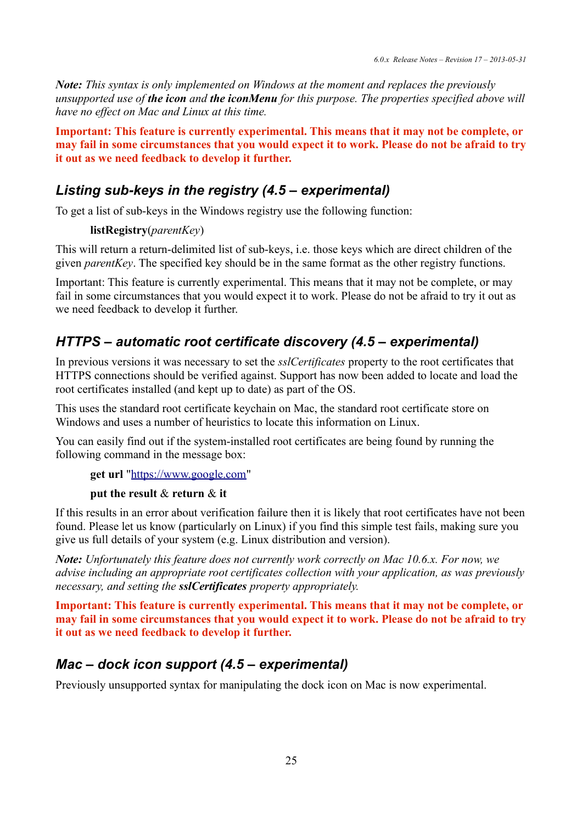*Note: This syntax is only implemented on Windows at the moment and replaces the previously unsupported use of the icon and the iconMenu for this purpose. The properties specified above will have no effect on Mac and Linux at this time.*

**Important: This feature is currently experimental. This means that it may not be complete, or may fail in some circumstances that you would expect it to work. Please do not be afraid to try it out as we need feedback to develop it further.**

### *Listing sub-keys in the registry (4.5 – experimental)*

To get a list of sub-keys in the Windows registry use the following function:

#### **listRegistry**(*parentKey*)

This will return a return-delimited list of sub-keys, i.e. those keys which are direct children of the given *parentKey*. The specified key should be in the same format as the other registry functions.

Important: This feature is currently experimental. This means that it may not be complete, or may fail in some circumstances that you would expect it to work. Please do not be afraid to try it out as we need feedback to develop it further.

## *HTTPS – automatic root certificate discovery (4.5 – experimental)*

In previous versions it was necessary to set the *sslCertificates* property to the root certificates that HTTPS connections should be verified against. Support has now been added to locate and load the root certificates installed (and kept up to date) as part of the OS.

This uses the standard root certificate keychain on Mac, the standard root certificate store on Windows and uses a number of heuristics to locate this information on Linux.

You can easily find out if the system-installed root certificates are being found by running the following command in the message box:

**get url** ["https://www.google.com"](https://www.google.com/)

#### **put the result** & **return** & **it**

If this results in an error about verification failure then it is likely that root certificates have not been found. Please let us know (particularly on Linux) if you find this simple test fails, making sure you give us full details of your system (e.g. Linux distribution and version).

*Note: Unfortunately this feature does not currently work correctly on Mac 10.6.x. For now, we advise including an appropriate root certificates collection with your application, as was previously necessary, and setting the sslCertificates property appropriately.*

**Important: This feature is currently experimental. This means that it may not be complete, or may fail in some circumstances that you would expect it to work. Please do not be afraid to try it out as we need feedback to develop it further.**

#### *Mac – dock icon support (4.5 – experimental)*

Previously unsupported syntax for manipulating the dock icon on Mac is now experimental.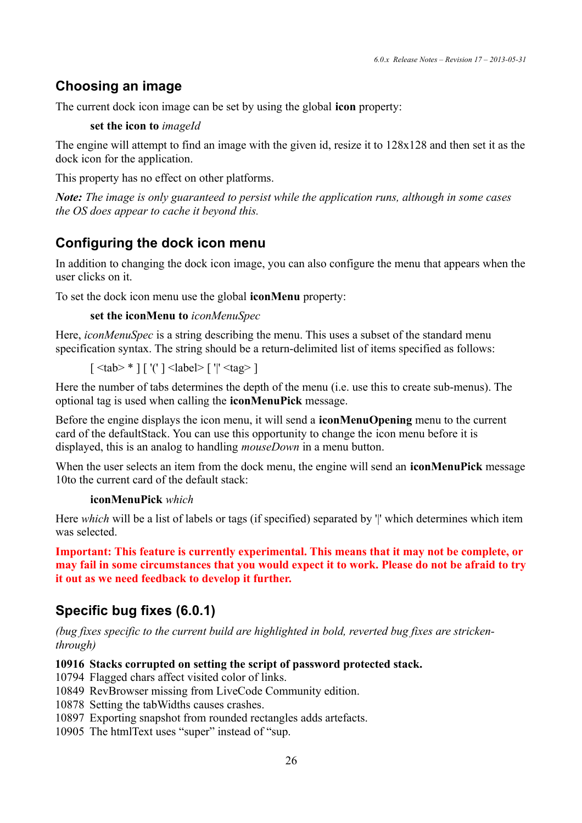## **Choosing an image**

The current dock icon image can be set by using the global **icon** property:

**set the icon to** *imageId*

The engine will attempt to find an image with the given id, resize it to 128x128 and then set it as the dock icon for the application.

This property has no effect on other platforms.

*Note: The image is only guaranteed to persist while the application runs, although in some cases the OS does appear to cache it beyond this.*

## **Configuring the dock icon menu**

In addition to changing the dock icon image, you can also configure the menu that appears when the user clicks on it.

To set the dock icon menu use the global **iconMenu** property:

```
set the iconMenu to iconMenuSpec
```
Here, *iconMenuSpec* is a string describing the menu. This uses a subset of the standard menu specification syntax. The string should be a return-delimited list of items specified as follows:

 $\lceil$  <tab> \* ]  $\lceil$  '('  $\rceil$  <label>  $\lceil$  '|' <tag>  $\rceil$ 

Here the number of tabs determines the depth of the menu (i.e. use this to create sub-menus). The optional tag is used when calling the **iconMenuPick** message.

Before the engine displays the icon menu, it will send a **iconMenuOpening** menu to the current card of the defaultStack. You can use this opportunity to change the icon menu before it is displayed, this is an analog to handling *mouseDown* in a menu button.

When the user selects an item from the dock menu, the engine will send an **iconMenuPick** message 10to the current card of the default stack:

#### **iconMenuPick** *which*

Here *which* will be a list of labels or tags (if specified) separated by '' which determines which item was selected.

**Important: This feature is currently experimental. This means that it may not be complete, or may fail in some circumstances that you would expect it to work. Please do not be afraid to try it out as we need feedback to develop it further.**

## **Specific bug fixes (6.0.1)**

*(bug fixes specific to the current build are highlighted in bold, reverted bug fixes are strickenthrough)*

#### **10916 Stacks corrupted on setting the script of password protected stack.**

10794 Flagged chars affect visited color of links.

10849 RevBrowser missing from LiveCode Community edition.

10878 Setting the tabWidths causes crashes.

10897 Exporting snapshot from rounded rectangles adds artefacts.

10905 The htmlText uses "super" instead of "sup.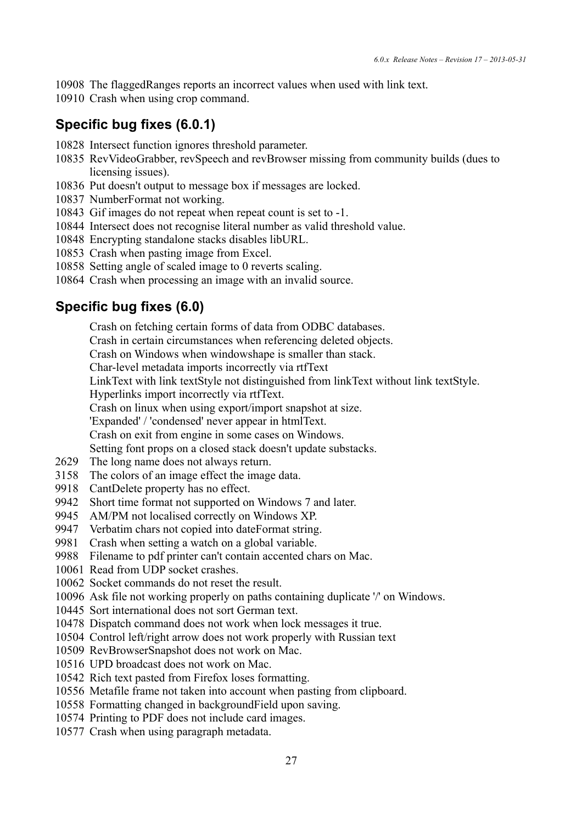The flaggedRanges reports an incorrect values when used with link text.

Crash when using crop command.

## **Specific bug fixes (6.0.1)**

- Intersect function ignores threshold parameter.
- RevVideoGrabber, revSpeech and revBrowser missing from community builds (dues to licensing issues).
- Put doesn't output to message box if messages are locked.
- NumberFormat not working.
- Gif images do not repeat when repeat count is set to -1.
- Intersect does not recognise literal number as valid threshold value.
- Encrypting standalone stacks disables libURL.
- Crash when pasting image from Excel.
- Setting angle of scaled image to 0 reverts scaling.
- Crash when processing an image with an invalid source.

## **Specific bug fixes (6.0)**

Crash on fetching certain forms of data from ODBC databases.

Crash in certain circumstances when referencing deleted objects.

Crash on Windows when windowshape is smaller than stack.

Char-level metadata imports incorrectly via rtfText

LinkText with link textStyle not distinguished from linkText without link textStyle.

Hyperlinks import incorrectly via rtfText.

Crash on linux when using export/import snapshot at size.

'Expanded' / 'condensed' never appear in htmlText.

Crash on exit from engine in some cases on Windows.

Setting font props on a closed stack doesn't update substacks.

- The long name does not always return.
- The colors of an image effect the image data.
- CantDelete property has no effect.
- Short time format not supported on Windows 7 and later.
- AM/PM not localised correctly on Windows XP.
- Verbatim chars not copied into dateFormat string.
- Crash when setting a watch on a global variable.
- Filename to pdf printer can't contain accented chars on Mac.
- Read from UDP socket crashes.
- Socket commands do not reset the result.
- Ask file not working properly on paths containing duplicate '/' on Windows.
- Sort international does not sort German text.
- Dispatch command does not work when lock messages it true.
- Control left/right arrow does not work properly with Russian text
- RevBrowserSnapshot does not work on Mac.
- UPD broadcast does not work on Mac.
- Rich text pasted from Firefox loses formatting.
- Metafile frame not taken into account when pasting from clipboard.
- Formatting changed in backgroundField upon saving.
- Printing to PDF does not include card images.
- Crash when using paragraph metadata.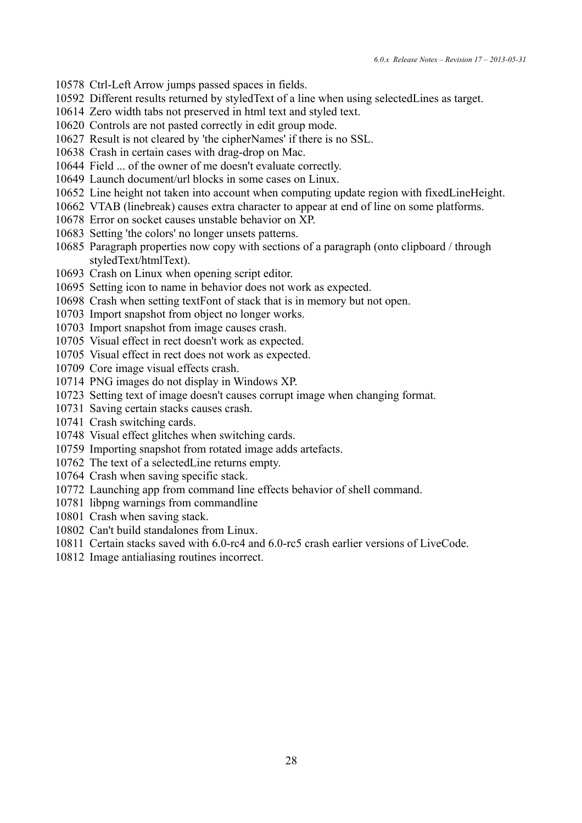- Ctrl-Left Arrow jumps passed spaces in fields.
- Different results returned by styledText of a line when using selectedLines as target.
- Zero width tabs not preserved in html text and styled text.
- Controls are not pasted correctly in edit group mode.
- Result is not cleared by 'the cipherNames' if there is no SSL.
- Crash in certain cases with drag-drop on Mac.
- Field ... of the owner of me doesn't evaluate correctly.
- Launch document/url blocks in some cases on Linux.
- Line height not taken into account when computing update region with fixedLineHeight.
- VTAB (linebreak) causes extra character to appear at end of line on some platforms.
- Error on socket causes unstable behavior on XP.
- Setting 'the colors' no longer unsets patterns.
- Paragraph properties now copy with sections of a paragraph (onto clipboard / through styledText/htmlText).
- Crash on Linux when opening script editor.
- Setting icon to name in behavior does not work as expected.
- Crash when setting textFont of stack that is in memory but not open.
- Import snapshot from object no longer works.
- Import snapshot from image causes crash.
- Visual effect in rect doesn't work as expected.
- Visual effect in rect does not work as expected.
- Core image visual effects crash.
- PNG images do not display in Windows XP.
- Setting text of image doesn't causes corrupt image when changing format.
- Saving certain stacks causes crash.
- Crash switching cards.
- Visual effect glitches when switching cards.
- Importing snapshot from rotated image adds artefacts.
- The text of a selectedLine returns empty.
- Crash when saving specific stack.
- Launching app from command line effects behavior of shell command.
- libpng warnings from commandline
- Crash when saving stack.
- Can't build standalones from Linux.
- Certain stacks saved with 6.0-rc4 and 6.0-rc5 crash earlier versions of LiveCode.
- Image antialiasing routines incorrect.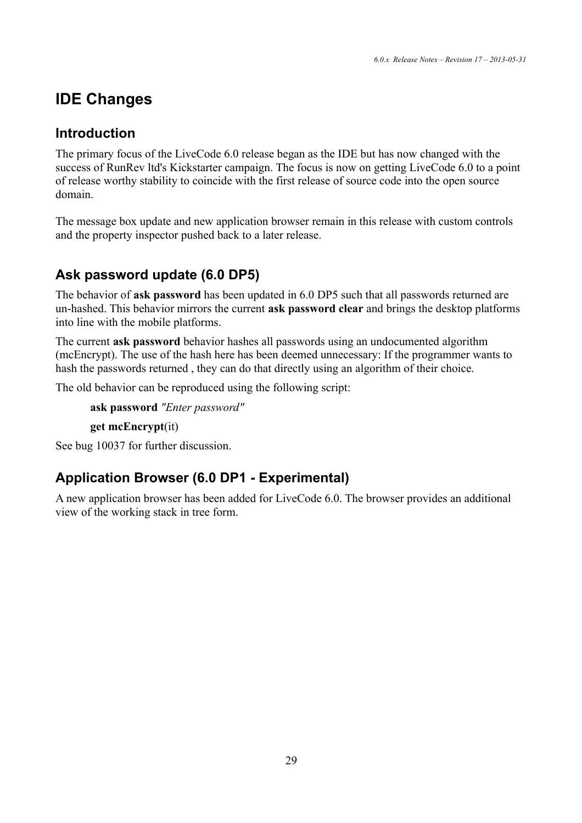# **IDE Changes**

## **Introduction**

The primary focus of the LiveCode 6.0 release began as the IDE but has now changed with the success of RunRev ltd's Kickstarter campaign. The focus is now on getting LiveCode 6.0 to a point of release worthy stability to coincide with the first release of source code into the open source domain.

The message box update and new application browser remain in this release with custom controls and the property inspector pushed back to a later release.

## **Ask password update (6.0 DP5)**

The behavior of **ask password** has been updated in 6.0 DP5 such that all passwords returned are un-hashed. This behavior mirrors the current **ask password clear** and brings the desktop platforms into line with the mobile platforms.

The current **ask password** behavior hashes all passwords using an undocumented algorithm (mcEncrypt). The use of the hash here has been deemed unnecessary: If the programmer wants to hash the passwords returned , they can do that directly using an algorithm of their choice.

The old behavior can be reproduced using the following script:

**ask password** *"Enter password"*

**get mcEncrypt**(it)

See bug 10037 for further discussion.

## **Application Browser (6.0 DP1 - Experimental)**

A new application browser has been added for LiveCode 6.0. The browser provides an additional view of the working stack in tree form.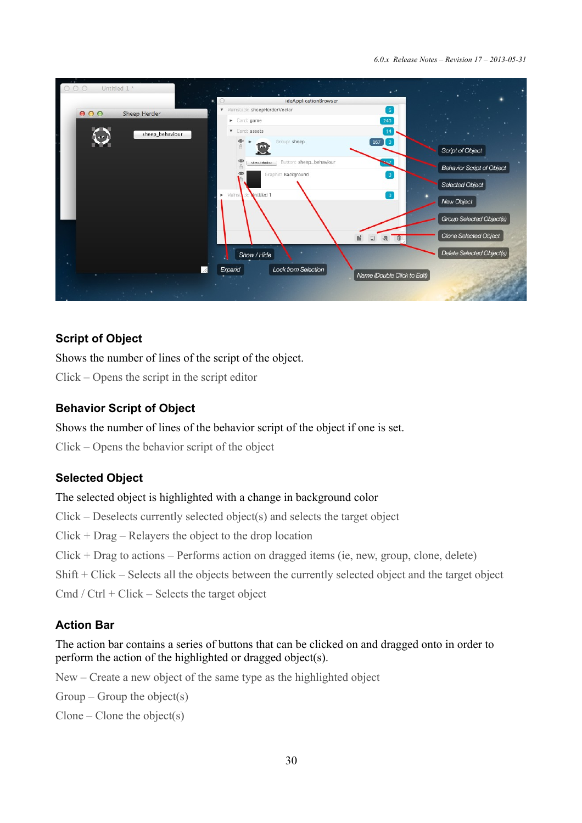*6.0.x Release Notes – Revision 17 – 2013-05-31*

| Untitled 1 *<br>000             | $\mathbf{X} = \mathbf{X}$<br>. .                                                                    |                                  |
|---------------------------------|-----------------------------------------------------------------------------------------------------|----------------------------------|
|                                 | ideApplicationBrowser                                                                               |                                  |
| 000<br><b>Sheep Herder</b>      | ▼ Mainstack: sheepHerderVector<br>6                                                                 |                                  |
|                                 | 240<br>Card: game                                                                                   |                                  |
| sheep_behaviour                 | Card: assets<br>14                                                                                  |                                  |
|                                 | $167$ 0<br>$\oplus$<br>Group: sheep<br>$\bigcap$<br>199                                             | Script of Object                 |
|                                 | sheep_tehaviour 'Button: sheep_behaviour<br>$\bullet$<br>Graphic: Background<br>œ<br>$\overline{0}$ | <b>Behavior Script of Object</b> |
|                                 | Intitled 1<br>Mainstrick:<br>0<br>$\blacktriangleright$                                             | Selected Object                  |
|                                 |                                                                                                     | New Object                       |
|                                 |                                                                                                     | Group Selected Object(s)         |
|                                 |                                                                                                     | Clone Selected Object            |
|                                 | Show / Hide                                                                                         | Delete Selected Object(s)        |
|                                 | Lock from Selection<br>Expand<br>Name (Double Click to Edit)                                        |                                  |
| <b>Contract Contract Street</b> |                                                                                                     |                                  |

### **Script of Object**

Shows the number of lines of the script of the object.

Click – Opens the script in the script editor

### **Behavior Script of Object**

Shows the number of lines of the behavior script of the object if one is set.

Click – Opens the behavior script of the object

## **Selected Object**

### The selected object is highlighted with a change in background color

Click – Deselects currently selected object(s) and selects the target object

 $Click + Drag - Relayers the object to the drop location$ 

Click + Drag to actions – Performs action on dragged items (ie, new, group, clone, delete)

Shift + Click – Selects all the objects between the currently selected object and the target object

Cmd / Ctrl + Click – Selects the target object

## **Action Bar**

The action bar contains a series of buttons that can be clicked on and dragged onto in order to perform the action of the highlighted or dragged object(s).

New – Create a new object of the same type as the highlighted object

 $Group - Group the object(s)$ 

 $C$ lone –  $C$ lone the object(s)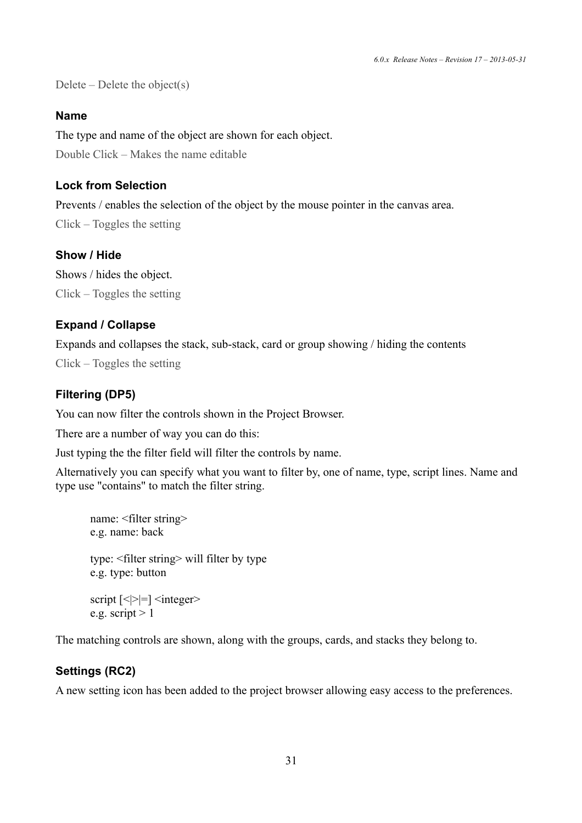Delete – Delete the object(s)

#### **Name**

The type and name of the object are shown for each object. Double Click – Makes the name editable

#### **Lock from Selection**

Prevents / enables the selection of the object by the mouse pointer in the canvas area.

Click – Toggles the setting

#### **Show / Hide**

Shows / hides the object. Click – Toggles the setting

#### **Expand / Collapse**

Expands and collapses the stack, sub-stack, card or group showing / hiding the contents Click – Toggles the setting

#### **Filtering (DP5)**

You can now filter the controls shown in the Project Browser.

There are a number of way you can do this:

Just typing the the filter field will filter the controls by name.

Alternatively you can specify what you want to filter by, one of name, type, script lines. Name and type use "contains" to match the filter string.

```
name: <filter string> 
e.g. name: back 
type: <filter string> will filter by type 
e.g. type: button 
script \left[\langle \rangle = \rangle \right] \langle \langle \text{integer} \ranglee.g. script > 1
```
The matching controls are shown, along with the groups, cards, and stacks they belong to.

#### **Settings (RC2)**

A new setting icon has been added to the project browser allowing easy access to the preferences.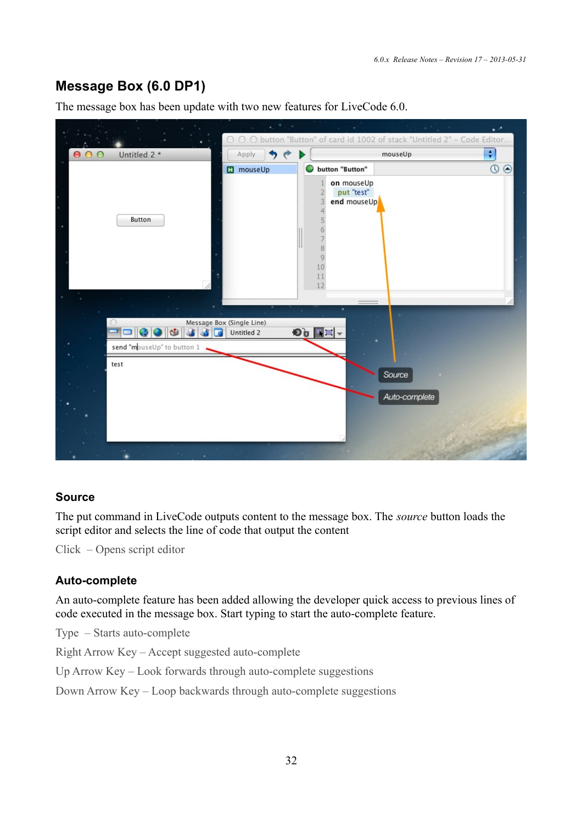## **Message Box (6.0 DP1)**

The message box has been update with two new features for LiveCode 6.0.



#### **Source**

The put command in LiveCode outputs content to the message box. The *source* button loads the script editor and selects the line of code that output the content

Click – Opens script editor

#### **Auto-complete**

An auto-complete feature has been added allowing the developer quick access to previous lines of code executed in the message box. Start typing to start the auto-complete feature.

Type – Starts auto-complete

Right Arrow Key – Accept suggested auto-complete

Up Arrow Key – Look forwards through auto-complete suggestions

Down Arrow Key – Loop backwards through auto-complete suggestions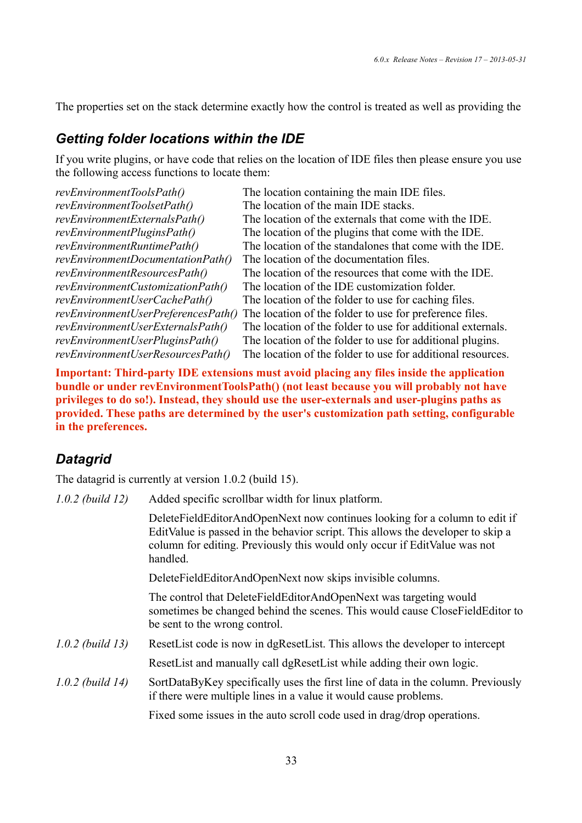The properties set on the stack determine exactly how the control is treated as well as providing the

### *Getting folder locations within the IDE*

If you write plugins, or have code that relies on the location of IDE files then please ensure you use the following access functions to locate them:

| The location containing the main IDE files.                 |
|-------------------------------------------------------------|
| The location of the main IDE stacks.                        |
| The location of the externals that come with the IDE.       |
| The location of the plugins that come with the IDE.         |
| The location of the standalones that come with the IDE.     |
| The location of the documentation files.                    |
| The location of the resources that come with the IDE.       |
| The location of the IDE customization folder.               |
| The location of the folder to use for caching files.        |
| The location of the folder to use for preference files.     |
| The location of the folder to use for additional externals. |
| The location of the folder to use for additional plugins.   |
| The location of the folder to use for additional resources. |
|                                                             |

**Important: Third-party IDE extensions must avoid placing any files inside the application bundle or under revEnvironmentToolsPath() (not least because you will probably not have privileges to do so!). Instead, they should use the user-externals and user-plugins paths as provided. These paths are determined by the user's customization path setting, configurable in the preferences.**

## *Datagrid*

The datagrid is currently at version 1.0.2 (build 15).

| $1.0.2$ (build 12) | Added specific scrollbar width for linux platform.                                                                                                                                                                                                     |
|--------------------|--------------------------------------------------------------------------------------------------------------------------------------------------------------------------------------------------------------------------------------------------------|
|                    | DeleteFieldEditorAndOpenNext now continues looking for a column to edit if<br>EditValue is passed in the behavior script. This allows the developer to skip a<br>column for editing. Previously this would only occur if EditValue was not<br>handled. |
|                    | DeleteFieldEditorAndOpenNext now skips invisible columns.                                                                                                                                                                                              |
|                    | The control that DeleteFieldEditorAndOpenNext was targeting would<br>sometimes be changed behind the scenes. This would cause CloseFieldEditor to<br>be sent to the wrong control.                                                                     |
| $1.0.2$ (build 13) | ResetList code is now in dgResetList. This allows the developer to intercept                                                                                                                                                                           |
|                    | ResetList and manually call dgResetList while adding their own logic.                                                                                                                                                                                  |
| $1.0.2$ (build 14) | SortDataByKey specifically uses the first line of data in the column. Previously<br>if there were multiple lines in a value it would cause problems.                                                                                                   |
|                    | Fixed some issues in the auto scroll code used in drag/drop operations.                                                                                                                                                                                |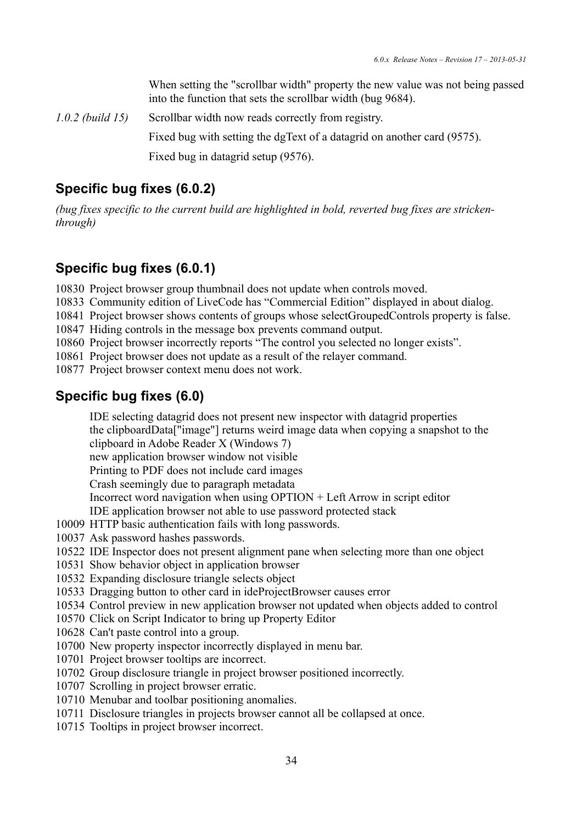When setting the "scrollbar width" property the new value was not being passed into the function that sets the scrollbar width (bug 9684).

*1.0.2 (build 15)* Scrollbar width now reads correctly from registry. Fixed bug with setting the dgText of a datagrid on another card (9575).

Fixed bug in datagrid setup (9576).

## **Specific bug fixes (6.0.2)**

*(bug fixes specific to the current build are highlighted in bold, reverted bug fixes are strickenthrough)*

## **Specific bug fixes (6.0.1)**

10830 Project browser group thumbnail does not update when controls moved.

- 10833 Community edition of LiveCode has "Commercial Edition" displayed in about dialog.
- 10841 Project browser shows contents of groups whose selectGroupedControls property is false.
- 10847 Hiding controls in the message box prevents command output.
- 10860 Project browser incorrectly reports "The control you selected no longer exists".
- 10861 Project browser does not update as a result of the relayer command.
- 10877 Project browser context menu does not work.

## **Specific bug fixes (6.0)**

IDE selecting datagrid does not present new inspector with datagrid properties the clipboardData["image"] returns weird image data when copying a snapshot to the clipboard in Adobe Reader X (Windows 7)

[new application browser window not visible](http://quality.runrev.com/show_bug.cgi?id=10566)

[Printing to PDF does not include card images](http://quality.runrev.com/show_bug.cgi?id=10574)

[Crash seemingly due to paragraph metadata](http://quality.runrev.com/show_bug.cgi?id=10577)

Incorrect word navigation when using OPTION + Left Arrow in script editor

IDE application browser not able to use password protected stack

- 10009 HTTP basic authentication fails with long passwords.
- 10037 Ask password hashes passwords.
- 10522 IDE Inspector does not present alignment pane when selecting more than one object
- 10531 Show behavior object in application browser
- 10532 Expanding disclosure triangle selects object
- 10533 Dragging button to other card in ideProjectBrowser causes error
- 10534 Control preview in new application browser not updated when objects added to control
- 10570 Click on Script Indicator to bring up Property Editor
- 10628 Can't paste control into a group.
- 10700 New property inspector incorrectly displayed in menu bar.
- 10701 Project browser tooltips are incorrect.
- 10702 Group disclosure triangle in project browser positioned incorrectly.
- 10707 Scrolling in project browser erratic.
- 10710 Menubar and toolbar positioning anomalies.
- 10711 Disclosure triangles in projects browser cannot all be collapsed at once.
- 10715 Tooltips in project browser incorrect.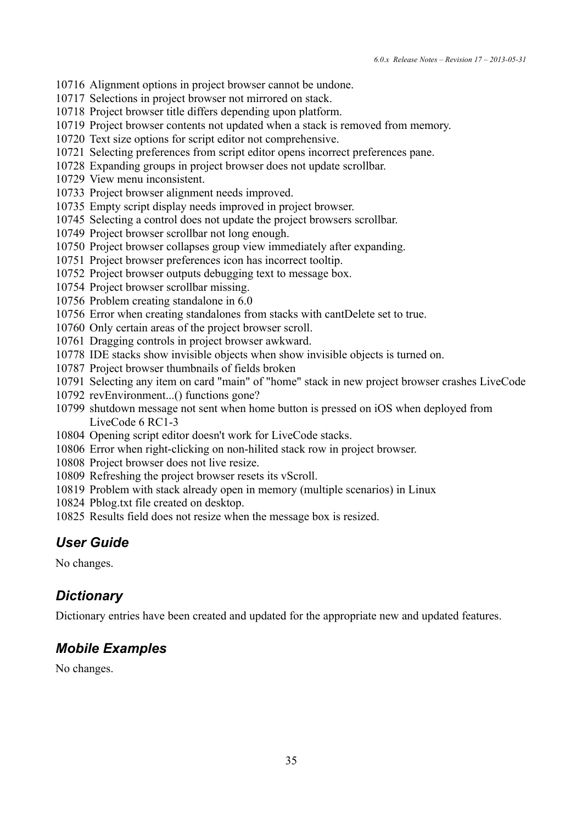- Alignment options in project browser cannot be undone.
- Selections in project browser not mirrored on stack.
- Project browser title differs depending upon platform.
- Project browser contents not updated when a stack is removed from memory.
- Text size options for script editor not comprehensive.
- Selecting preferences from script editor opens incorrect preferences pane.
- Expanding groups in project browser does not update scrollbar.
- View menu inconsistent.
- Project browser alignment needs improved.
- Empty script display needs improved in project browser.
- Selecting a control does not update the project browsers scrollbar.
- Project browser scrollbar not long enough.
- Project browser collapses group view immediately after expanding.
- Project browser preferences icon has incorrect tooltip.
- Project browser outputs debugging text to message box.
- Project browser scrollbar missing.
- Problem creating standalone in 6.0
- Error when creating standalones from stacks with cantDelete set to true.
- Only certain areas of the project browser scroll.
- Dragging controls in project browser awkward.
- IDE stacks show invisible objects when show invisible objects is turned on.
- Project browser thumbnails of fields broken
- Selecting any item on card "main" of "home" stack in new project browser crashes LiveCode
- revEnvironment...() functions gone?
- shutdown message not sent when home button is pressed on iOS when deployed from LiveCode 6 RC1-3
- Opening script editor doesn't work for LiveCode stacks.
- Error when right-clicking on non-hilited stack row in project browser.
- Project browser does not live resize.
- Refreshing the project browser resets its vScroll.
- Problem with stack already open in memory (multiple scenarios) in Linux
- Pblog.txt file created on desktop.
- Results field does not resize when the message box is resized.

## *User Guide*

No changes.

## *Dictionary*

Dictionary entries have been created and updated for the appropriate new and updated features.

## *Mobile Examples*

No changes.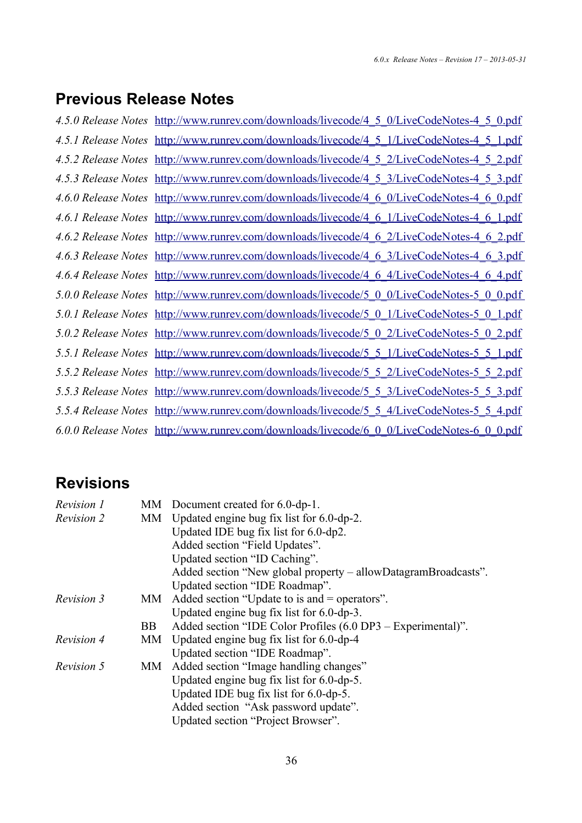# **Previous Release Notes**

| 4.5.0 Release Notes http://www.runrev.com/downloads/livecode/4 5 0/LiveCodeNotes-4 5 0.pdf |
|--------------------------------------------------------------------------------------------|
| 4.5.1 Release Notes http://www.runrev.com/downloads/livecode/4_5_1/LiveCodeNotes-4_5_1.pdf |
| 4.5.2 Release Notes http://www.runrev.com/downloads/livecode/4 5 2/LiveCodeNotes-4 5 2.pdf |
| 4.5.3 Release Notes http://www.runrev.com/downloads/livecode/4 5 3/LiveCodeNotes-4 5 3.pdf |
| 4.6.0 Release Notes http://www.runrev.com/downloads/livecode/4 6 0/LiveCodeNotes-4 6 0.pdf |
| 4.6.1 Release Notes http://www.runrev.com/downloads/livecode/4 6 1/LiveCodeNotes-4 6 1.pdf |
| 4.6.2 Release Notes http://www.runrev.com/downloads/livecode/4 6 2/LiveCodeNotes-4 6 2.pdf |
| 4.6.3 Release Notes http://www.runrev.com/downloads/livecode/4_6_3/LiveCodeNotes-4_6_3.pdf |
| 4.6.4 Release Notes http://www.runrev.com/downloads/livecode/4 6 4/LiveCodeNotes-4 6 4.pdf |
| 5.0.0 Release Notes http://www.runrev.com/downloads/livecode/5 0 0/LiveCodeNotes-5 0 0.pdf |
| 5.0.1 Release Notes http://www.runrev.com/downloads/livecode/5 0 1/LiveCodeNotes-5 0 1.pdf |
| 5.0.2 Release Notes http://www.runrev.com/downloads/livecode/5 0 2/LiveCodeNotes-5 0 2.pdf |
| 5.5.1 Release Notes http://www.runrev.com/downloads/livecode/5 5 1/LiveCodeNotes-5 5 1.pdf |
| 5.5.2 Release Notes http://www.runrev.com/downloads/livecode/5 5 2/LiveCodeNotes-5 5 2.pdf |
| 5.5.3 Release Notes http://www.runrev.com/downloads/livecode/5 5 3/LiveCodeNotes-5 5 3.pdf |
| 5.5.4 Release Notes http://www.runrev.com/downloads/livecode/5 5 4/LiveCodeNotes-5 5 4.pdf |
| 6.0.0 Release Notes http://www.runrev.com/downloads/livecode/6 0 0/LiveCodeNotes-6 0 0.pdf |

# **Revisions**

| Revision 1        |     | MM Document created for 6.0-dp-1.                              |
|-------------------|-----|----------------------------------------------------------------|
| Revision 2        | МM  | Updated engine bug fix list for $6.0$ -dp-2.                   |
|                   |     | Updated IDE bug fix list for 6.0-dp2.                          |
|                   |     | Added section "Field Updates".                                 |
|                   |     | Updated section "ID Caching".                                  |
|                   |     | Added section "New global property – allowDatagramBroadcasts". |
|                   |     | Updated section "IDE Roadmap".                                 |
| Revision 3        | MM  | Added section "Update to is and = operators".                  |
|                   |     | Updated engine bug fix list for $6.0$ -dp-3.                   |
|                   | BB. | Added section "IDE Color Profiles (6.0 DP3 – Experimental)".   |
| <i>Revision 4</i> | MM  | Updated engine bug fix list for 6.0-dp-4                       |
|                   |     | Updated section "IDE Roadmap".                                 |
| Revision 5        | MМ  | Added section "Image handling changes"                         |
|                   |     | Updated engine bug fix list for $6.0$ -dp-5.                   |
|                   |     | Updated IDE bug fix list for $6.0$ -dp-5.                      |
|                   |     | Added section "Ask password update".                           |
|                   |     | Updated section "Project Browser".                             |